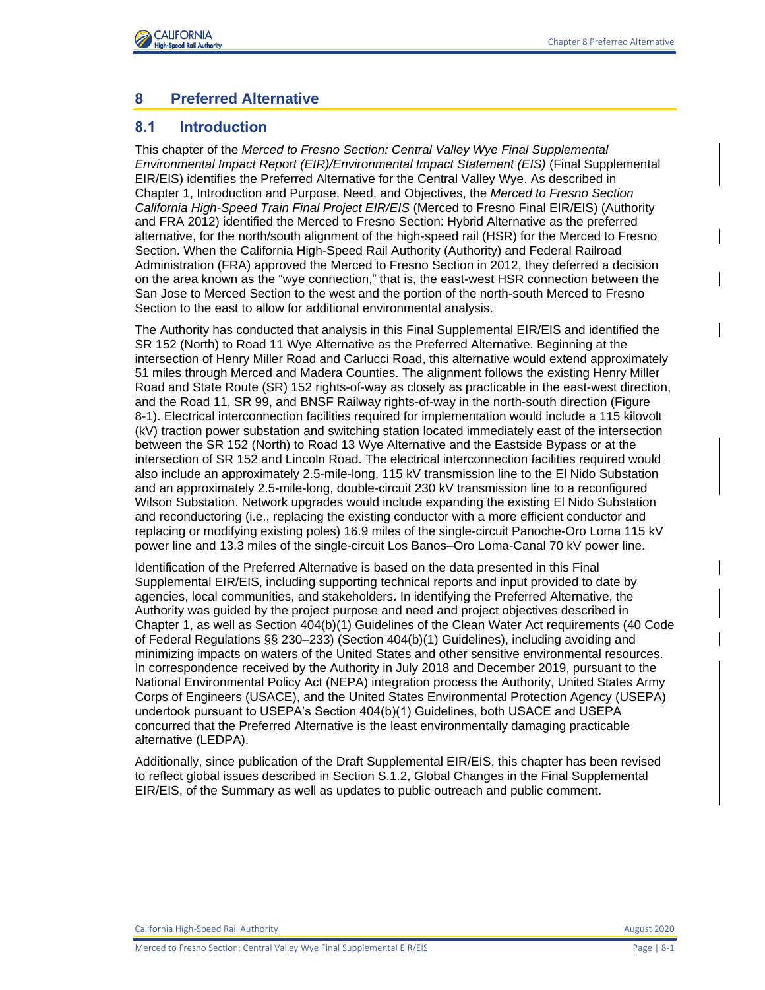

# **8 Preferred Alternative**

### **8.1 Introduction**

This chapter of the *Merced to Fresno Section: Central Valley Wye Final Supplemental Environmental Impact Report (EIR)/Environmental Impact Statement (EIS)* (Final Supplemental EIR/EIS) identifies the Preferred Alternative for the Central Valley Wye. As described in Chapter 1, Introduction and Purpose, Need, and Objectives, the *Merced to Fresno Section California High-Speed Train Final Project EIR/EIS* (Merced to Fresno Final EIR/EIS) (Authority and FRA 2012) identified the Merced to Fresno Section: Hybrid Alternative as the preferred alternative, for the north/south alignment of the high-speed rail (HSR) for the Merced to Fresno Section. When the California High-Speed Rail Authority (Authority) and Federal Railroad Administration (FRA) approved the Merced to Fresno Section in 2012, they deferred a decision on the area known as the "wye connection," that is, the east-west HSR connection between the San Jose to Merced Section to the west and the portion of the north-south Merced to Fresno Section to the east to allow for additional environmental analysis.

The Authority has conducted that analysis in this Final Supplemental EIR/EIS and identified the SR 152 (North) to Road 11 Wye Alternative as the Preferred Alternative. Beginning at the intersection of Henry Miller Road and Carlucci Road, this alternative would extend approximately 51 miles through Merced and Madera Counties. The alignment follows the existing Henry Miller Road and State Route (SR) 152 rights-of-way as closely as practicable in the east-west direction, and the Road 11, SR 99, and BNSF Railway rights-of-way in the north-south direction [\(Figure](#page-1-0)  [8-1\)](#page-1-0). Electrical interconnection facilities required for implementation would include a 115 kilovolt (kV) traction power substation and switching station located immediately east of the intersection between the SR 152 (North) to Road 13 Wye Alternative and the Eastside Bypass or at the intersection of SR 152 and Lincoln Road. The electrical interconnection facilities required would also include an approximately 2.5-mile-long, 115 kV transmission line to the El Nido Substation and an approximately 2.5-mile-long, double-circuit 230 kV transmission line to a reconfigured Wilson Substation. Network upgrades would include expanding the existing El Nido Substation and reconductoring (i.e., replacing the existing conductor with a more efficient conductor and replacing or modifying existing poles) 16.9 miles of the single-circuit Panoche-Oro Loma 115 kV power line and 13.3 miles of the single-circuit Los Banos–Oro Loma-Canal 70 kV power line.

Identification of the Preferred Alternative is based on the data presented in this Final Supplemental EIR/EIS, including supporting technical reports and input provided to date by agencies, local communities, and stakeholders. In identifying the Preferred Alternative, the Authority was guided by the project purpose and need and project objectives described in Chapter 1, as well as Section 404(b)(1) Guidelines of the Clean Water Act requirements (40 Code of Federal Regulations §§ 230–233) (Section 404(b)(1) Guidelines), including avoiding and minimizing impacts on waters of the United States and other sensitive environmental resources. In correspondence received by the Authority in July 2018 and December 2019, pursuant to the National Environmental Policy Act (NEPA) integration process the Authority, United States Army Corps of Engineers (USACE), and the United States Environmental Protection Agency (USEPA) undertook pursuant to USEPA's Section 404(b)(1) Guidelines, both USACE and USEPA concurred that the Preferred Alternative is the least environmentally damaging practicable alternative (LEDPA).

Additionally, since publication of the Draft Supplemental EIR/EIS, this chapter has been revised to reflect global issues described in Section S.1.2, Global Changes in the Final Supplemental EIR/EIS, of the Summary as well as updates to public outreach and public comment.

California High-Speed Rail Authority August 2020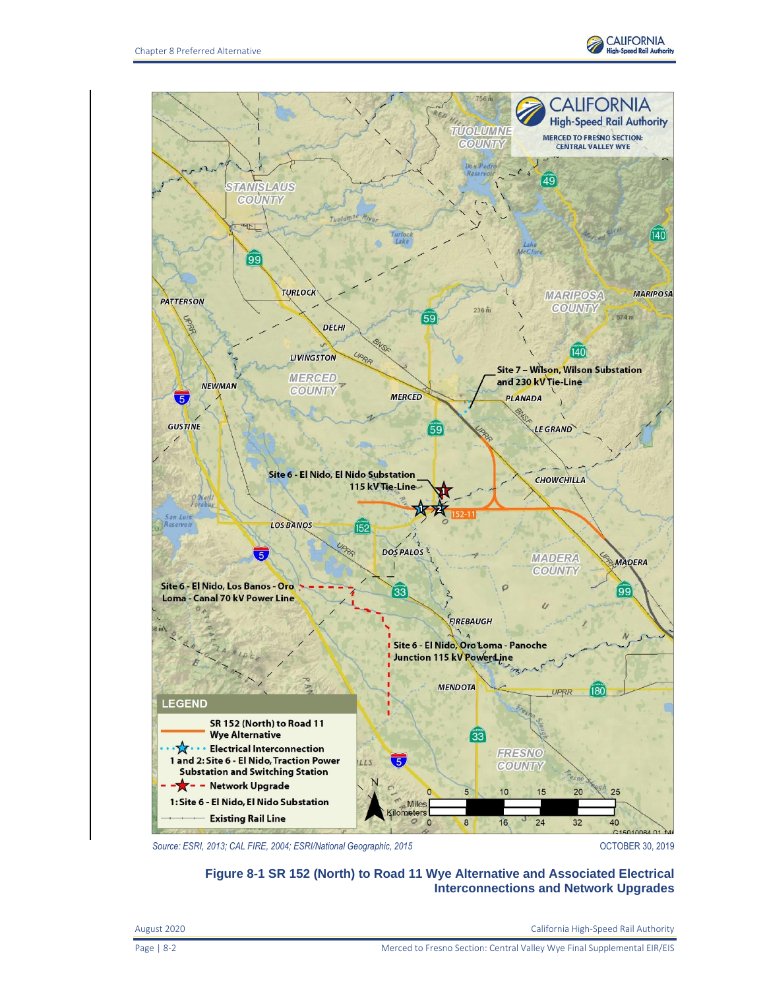



<span id="page-1-0"></span>Source: ESRI, 2013; CAL FIRE, 2004; ESRI/National Geographic, 2015<br> **Source: ESRI, 2013; CAL FIRE, 2004; ESRI/National Geographic, 2015** 

**Figure 8-1 SR 152 (North) to Road 11 Wye Alternative and Associated Electrical Interconnections and Network Upgrades**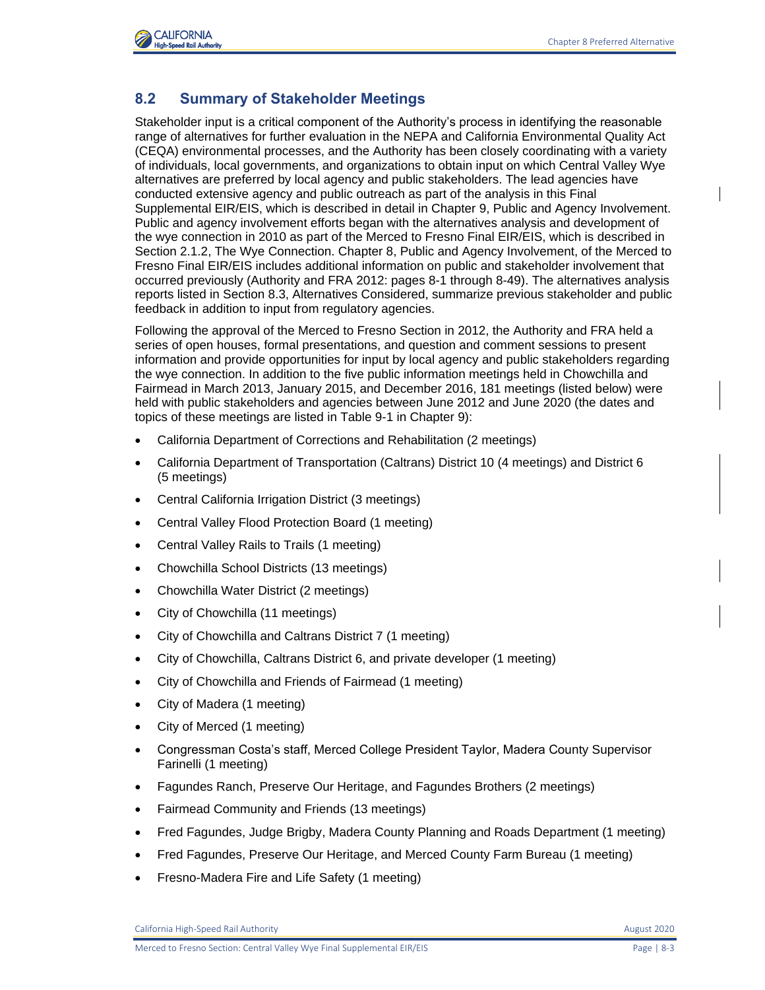

## **8.2 Summary of Stakeholder Meetings**

Stakeholder input is a critical component of the Authority's process in identifying the reasonable range of alternatives for further evaluation in the NEPA and California Environmental Quality Act (CEQA) environmental processes, and the Authority has been closely coordinating with a variety of individuals, local governments, and organizations to obtain input on which Central Valley Wye alternatives are preferred by local agency and public stakeholders. The lead agencies have conducted extensive agency and public outreach as part of the analysis in this Final Supplemental EIR/EIS, which is described in detail in Chapter 9, Public and Agency Involvement. Public and agency involvement efforts began with the alternatives analysis and development of the wye connection in 2010 as part of the Merced to Fresno Final EIR/EIS, which is described in Section 2.1.2, The Wye Connection. Chapter 8, Public and Agency Involvement, of the Merced to Fresno Final EIR/EIS includes additional information on public and stakeholder involvement that occurred previously (Authority and FRA 2012: pages 8-1 through 8-49). The alternatives analysis reports listed in Section 8.3, Alternatives Considered, summarize previous stakeholder and public feedback in addition to input from regulatory agencies.

Following the approval of the Merced to Fresno Section in 2012, the Authority and FRA held a series of open houses, formal presentations, and question and comment sessions to present information and provide opportunities for input by local agency and public stakeholders regarding the wye connection. In addition to the five public information meetings held in Chowchilla and Fairmead in March 2013, January 2015, and December 2016, 181 meetings (listed below) were held with public stakeholders and agencies between June 2012 and June 2020 (the dates and topics of these meetings are listed in Table 9-1 in Chapter 9):

- California Department of Corrections and Rehabilitation (2 meetings)
- California Department of Transportation (Caltrans) District 10 (4 meetings) and District 6 (5 meetings)
- Central California Irrigation District (3 meetings)
- Central Valley Flood Protection Board (1 meeting)
- Central Valley Rails to Trails (1 meeting)
- Chowchilla School Districts (13 meetings)
- Chowchilla Water District (2 meetings)
- City of Chowchilla (11 meetings)
- City of Chowchilla and Caltrans District 7 (1 meeting)
- City of Chowchilla, Caltrans District 6, and private developer (1 meeting)
- City of Chowchilla and Friends of Fairmead (1 meeting)
- City of Madera (1 meeting)
- City of Merced (1 meeting)
- Congressman Costa's staff, Merced College President Taylor, Madera County Supervisor Farinelli (1 meeting)
- Fagundes Ranch, Preserve Our Heritage, and Fagundes Brothers (2 meetings)
- Fairmead Community and Friends (13 meetings)
- Fred Fagundes, Judge Brigby, Madera County Planning and Roads Department (1 meeting)
- Fred Fagundes, Preserve Our Heritage, and Merced County Farm Bureau (1 meeting)
- Fresno-Madera Fire and Life Safety (1 meeting)

California High-Speed Rail Authority **August 2020** 2020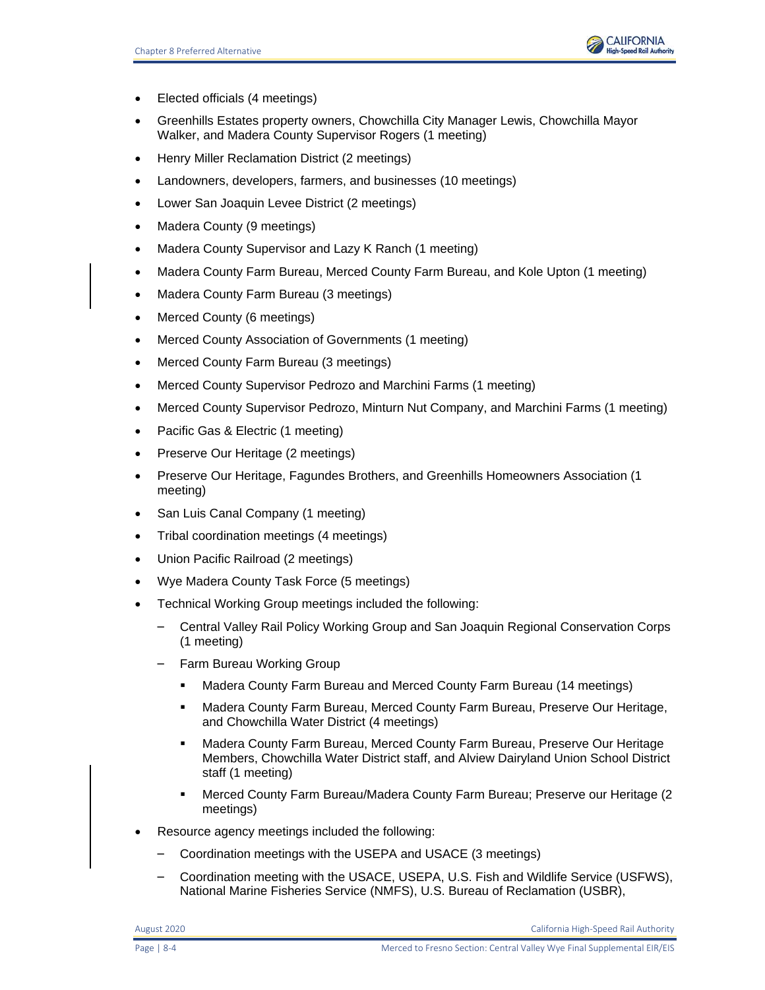

- Elected officials (4 meetings)
- Greenhills Estates property owners, Chowchilla City Manager Lewis, Chowchilla Mayor Walker, and Madera County Supervisor Rogers (1 meeting)
- Henry Miller Reclamation District (2 meetings)
- Landowners, developers, farmers, and businesses (10 meetings)
- Lower San Joaquin Levee District (2 meetings)
- Madera County (9 meetings)
- Madera County Supervisor and Lazy K Ranch (1 meeting)
- Madera County Farm Bureau, Merced County Farm Bureau, and Kole Upton (1 meeting)
- Madera County Farm Bureau (3 meetings)
- Merced County (6 meetings)
- Merced County Association of Governments (1 meeting)
- Merced County Farm Bureau (3 meetings)
- Merced County Supervisor Pedrozo and Marchini Farms (1 meeting)
- Merced County Supervisor Pedrozo, Minturn Nut Company, and Marchini Farms (1 meeting)
- Pacific Gas & Electric (1 meeting)
- Preserve Our Heritage (2 meetings)
- Preserve Our Heritage, Fagundes Brothers, and Greenhills Homeowners Association (1 meeting)
- San Luis Canal Company (1 meeting)
- Tribal coordination meetings (4 meetings)
- Union Pacific Railroad (2 meetings)
- Wye Madera County Task Force (5 meetings)
- Technical Working Group meetings included the following:
	- Central Valley Rail Policy Working Group and San Joaquin Regional Conservation Corps (1 meeting)
	- Farm Bureau Working Group
		- **■** Madera County Farm Bureau and Merced County Farm Bureau (14 meetings)
		- Madera County Farm Bureau, Merced County Farm Bureau, Preserve Our Heritage, and Chowchilla Water District (4 meetings)
		- **■** Madera County Farm Bureau, Merced County Farm Bureau, Preserve Our Heritage Members, Chowchilla Water District staff, and Alview Dairyland Union School District staff (1 meeting)
		- Merced County Farm Bureau/Madera County Farm Bureau; Preserve our Heritage (2 meetings)
- Resource agency meetings included the following:
	- Coordination meetings with the USEPA and USACE (3 meetings)
	- Coordination meeting with the USACE, USEPA, U.S. Fish and Wildlife Service (USFWS), National Marine Fisheries Service (NMFS), U.S. Bureau of Reclamation (USBR),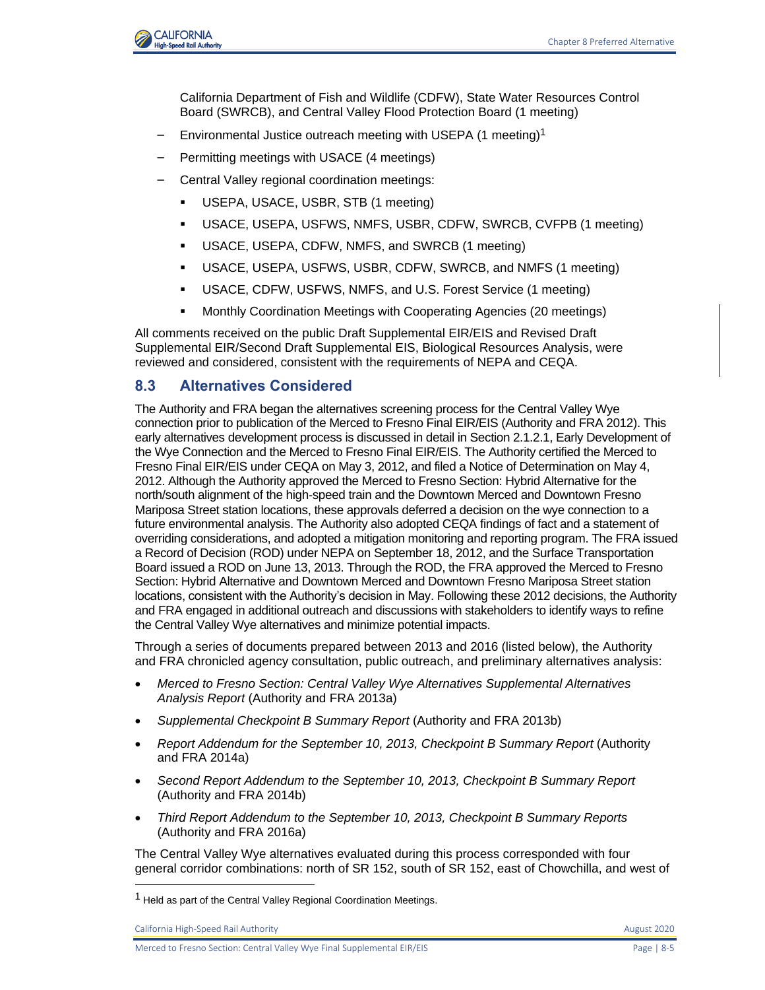

California Department of Fish and Wildlife (CDFW), State Water Resources Control Board (SWRCB), and Central Valley Flood Protection Board (1 meeting)

- Environmental Justice outreach meeting with USEPA (1 meeting)<sup>1</sup>
- Permitting meetings with USACE (4 meetings)
- Central Valley regional coordination meetings:
	- USEPA, USACE, USBR, STB (1 meeting)
	- USACE, USEPA, USFWS, NMFS, USBR, CDFW, SWRCB, CVFPB (1 meeting)
	- USACE, USEPA, CDFW, NMFS, and SWRCB (1 meeting)
	- USACE, USEPA, USFWS, USBR, CDFW, SWRCB, and NMFS (1 meeting)
	- USACE, CDFW, USFWS, NMFS, and U.S. Forest Service (1 meeting)
	- **Monthly Coordination Meetings with Cooperating Agencies (20 meetings)**

All comments received on the public Draft Supplemental EIR/EIS and Revised Draft Supplemental EIR/Second Draft Supplemental EIS, Biological Resources Analysis, were reviewed and considered, consistent with the requirements of NEPA and CEQA.

### **8.3 Alternatives Considered**

The Authority and FRA began the alternatives screening process for the Central Valley Wye connection prior to publication of the Merced to Fresno Final EIR/EIS (Authority and FRA 2012). This early alternatives development process is discussed in detail in Section 2.1.2.1, Early Development of the Wye Connection and the Merced to Fresno Final EIR/EIS. The Authority certified the Merced to Fresno Final EIR/EIS under CEQA on May 3, 2012, and filed a Notice of Determination on May 4, 2012. Although the Authority approved the Merced to Fresno Section: Hybrid Alternative for the north/south alignment of the high‐speed train and the Downtown Merced and Downtown Fresno Mariposa Street station locations, these approvals deferred a decision on the wye connection to a future environmental analysis. The Authority also adopted CEQA findings of fact and a statement of overriding considerations, and adopted a mitigation monitoring and reporting program. The FRA issued a Record of Decision (ROD) under NEPA on September 18, 2012, and the Surface Transportation Board issued a ROD on June 13, 2013. Through the ROD, the FRA approved the Merced to Fresno Section: Hybrid Alternative and Downtown Merced and Downtown Fresno Mariposa Street station locations, consistent with the Authority's decision in May. Following these 2012 decisions, the Authority and FRA engaged in additional outreach and discussions with stakeholders to identify ways to refine the Central Valley Wye alternatives and minimize potential impacts.

Through a series of documents prepared between 2013 and 2016 (listed below), the Authority and FRA chronicled agency consultation, public outreach, and preliminary alternatives analysis:

- *Merced to Fresno Section: Central Valley Wye Alternatives Supplemental Alternatives Analysis Report* (Authority and FRA 2013a)
- *Supplemental Checkpoint B Summary Report* (Authority and FRA 2013b)
- *Report Addendum for the September 10, 2013, Checkpoint B Summary Report* (Authority and FRA 2014a)
- *Second Report Addendum to the September 10, 2013, Checkpoint B Summary Report* (Authority and FRA 2014b)
- *Third Report Addendum to the September 10, 2013, Checkpoint B Summary Reports* (Authority and FRA 2016a)

The Central Valley Wye alternatives evaluated during this process corresponded with four general corridor combinations: north of SR 152, south of SR 152, east of Chowchilla, and west of

<sup>&</sup>lt;sup>1</sup> Held as part of the Central Valley Regional Coordination Meetings.

California High-Speed Rail Authority **August 2020 August 2020**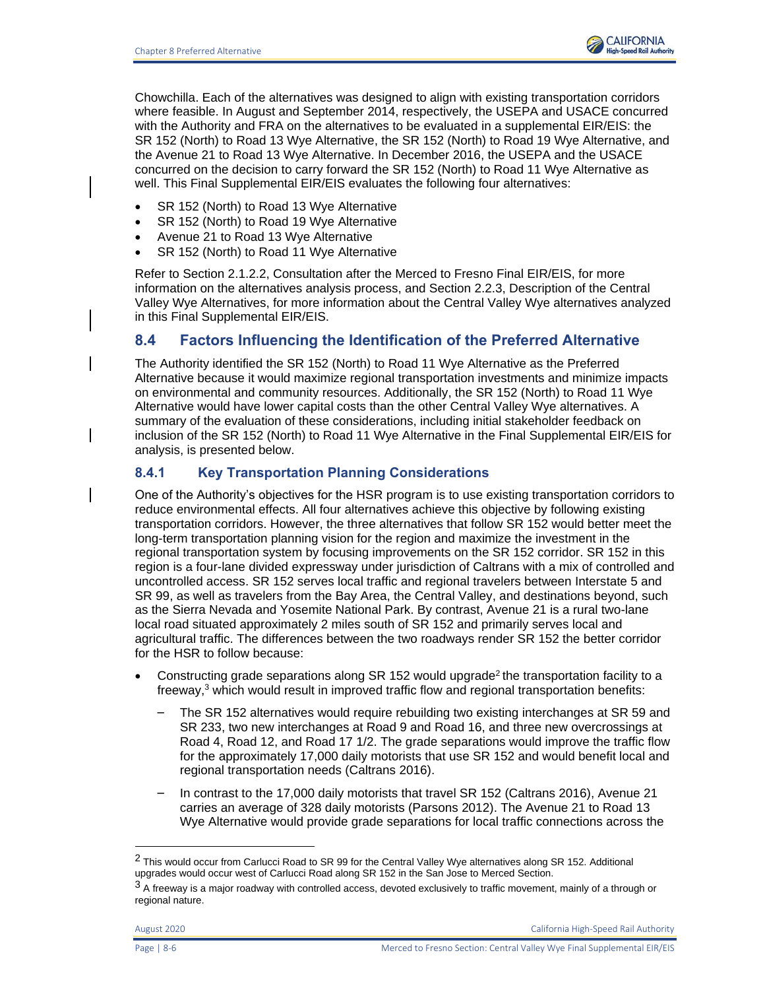

Chowchilla. Each of the alternatives was designed to align with existing transportation corridors where feasible. In August and September 2014, respectively, the USEPA and USACE concurred with the Authority and FRA on the alternatives to be evaluated in a supplemental EIR/EIS: the SR 152 (North) to Road 13 Wye Alternative, the SR 152 (North) to Road 19 Wye Alternative, and the Avenue 21 to Road 13 Wye Alternative. In December 2016, the USEPA and the USACE concurred on the decision to carry forward the SR 152 (North) to Road 11 Wye Alternative as well. This Final Supplemental EIR/EIS evaluates the following four alternatives:

- SR 152 (North) to Road 13 Wye Alternative
- SR 152 (North) to Road 19 Wye Alternative
- Avenue 21 to Road 13 Wye Alternative
- SR 152 (North) to Road 11 Wye Alternative

Refer to Section 2.1.2.2, Consultation after the Merced to Fresno Final EIR/EIS, for more information on the alternatives analysis process, and Section 2.2.3, Description of the Central Valley Wye Alternatives, for more information about the Central Valley Wye alternatives analyzed in this Final Supplemental EIR/EIS.

## **8.4 Factors Influencing the Identification of the Preferred Alternative**

The Authority identified the SR 152 (North) to Road 11 Wye Alternative as the Preferred Alternative because it would maximize regional transportation investments and minimize impacts on environmental and community resources. Additionally, the SR 152 (North) to Road 11 Wye Alternative would have lower capital costs than the other Central Valley Wye alternatives. A summary of the evaluation of these considerations, including initial stakeholder feedback on inclusion of the SR 152 (North) to Road 11 Wye Alternative in the Final Supplemental EIR/EIS for analysis, is presented below.

### **8.4.1 Key Transportation Planning Considerations**

One of the Authority's objectives for the HSR program is to use existing transportation corridors to reduce environmental effects. All four alternatives achieve this objective by following existing transportation corridors. However, the three alternatives that follow SR 152 would better meet the long-term transportation planning vision for the region and maximize the investment in the regional transportation system by focusing improvements on the SR 152 corridor. SR 152 in this region is a four-lane divided expressway under jurisdiction of Caltrans with a mix of controlled and uncontrolled access. SR 152 serves local traffic and regional travelers between Interstate 5 and SR 99, as well as travelers from the Bay Area, the Central Valley, and destinations beyond, such as the Sierra Nevada and Yosemite National Park. By contrast, Avenue 21 is a rural two-lane local road situated approximately 2 miles south of SR 152 and primarily serves local and agricultural traffic. The differences between the two roadways render SR 152 the better corridor for the HSR to follow because:

- Constructing grade separations along SR 152 would upgrade<sup>2</sup> the transportation facility to a freeway, <sup>3</sup> which would result in improved traffic flow and regional transportation benefits:
	- The SR 152 alternatives would require rebuilding two existing interchanges at SR 59 and SR 233, two new interchanges at Road 9 and Road 16, and three new overcrossings at Road 4, Road 12, and Road 17 1/2. The grade separations would improve the traffic flow for the approximately 17,000 daily motorists that use SR 152 and would benefit local and regional transportation needs (Caltrans 2016).
	- In contrast to the 17,000 daily motorists that travel SR 152 (Caltrans 2016), Avenue 21 carries an average of 328 daily motorists (Parsons 2012). The Avenue 21 to Road 13 Wye Alternative would provide grade separations for local traffic connections across the

<sup>2</sup> This would occur from Carlucci Road to SR 99 for the Central Valley Wye alternatives along SR 152. Additional upgrades would occur west of Carlucci Road along SR 152 in the San Jose to Merced Section.

 $3$  A freeway is a major roadway with controlled access, devoted exclusively to traffic movement, mainly of a through or regional nature.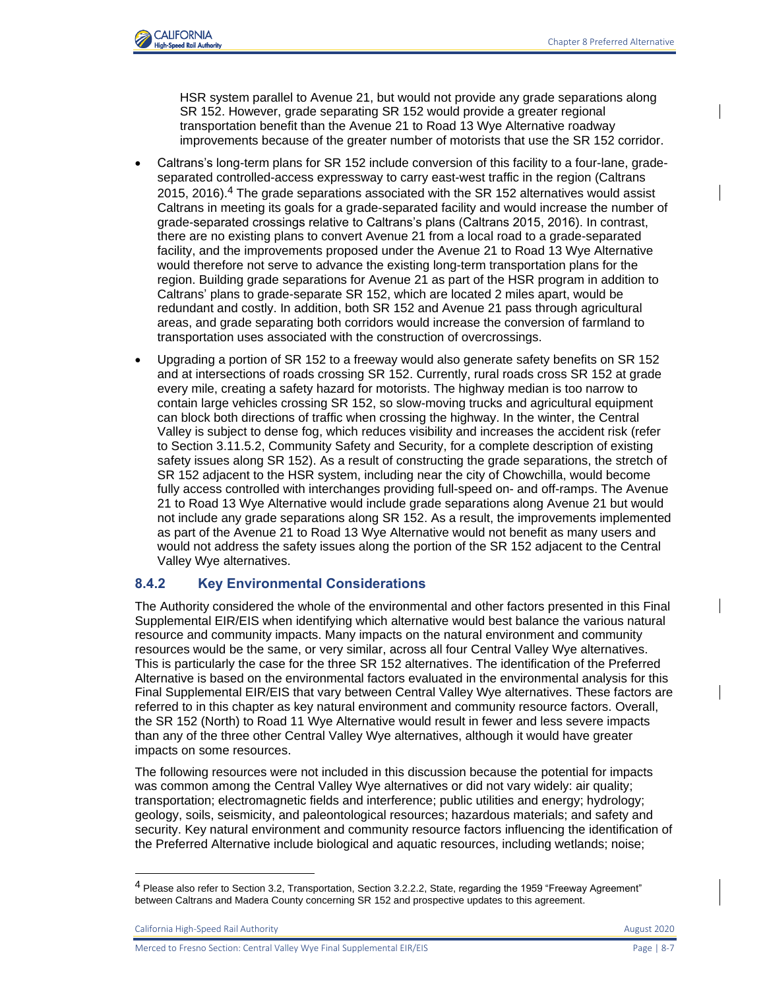

HSR system parallel to Avenue 21, but would not provide any grade separations along SR 152. However, grade separating SR 152 would provide a greater regional transportation benefit than the Avenue 21 to Road 13 Wye Alternative roadway improvements because of the greater number of motorists that use the SR 152 corridor.

- Caltrans's long-term plans for SR 152 include conversion of this facility to a four-lane, gradeseparated controlled-access expressway to carry east-west traffic in the region (Caltrans  $2015$ ,  $2016$ ).<sup>4</sup> The grade separations associated with the SR 152 alternatives would assist Caltrans in meeting its goals for a grade-separated facility and would increase the number of grade-separated crossings relative to Caltrans's plans (Caltrans 2015, 2016). In contrast, there are no existing plans to convert Avenue 21 from a local road to a grade-separated facility, and the improvements proposed under the Avenue 21 to Road 13 Wye Alternative would therefore not serve to advance the existing long-term transportation plans for the region. Building grade separations for Avenue 21 as part of the HSR program in addition to Caltrans' plans to grade-separate SR 152, which are located 2 miles apart, would be redundant and costly. In addition, both SR 152 and Avenue 21 pass through agricultural areas, and grade separating both corridors would increase the conversion of farmland to transportation uses associated with the construction of overcrossings.
- Upgrading a portion of SR 152 to a freeway would also generate safety benefits on SR 152 and at intersections of roads crossing SR 152. Currently, rural roads cross SR 152 at grade every mile, creating a safety hazard for motorists. The highway median is too narrow to contain large vehicles crossing SR 152, so slow-moving trucks and agricultural equipment can block both directions of traffic when crossing the highway. In the winter, the Central Valley is subject to dense fog, which reduces visibility and increases the accident risk (refer to Section 3.11.5.2, Community Safety and Security, for a complete description of existing safety issues along SR 152). As a result of constructing the grade separations, the stretch of SR 152 adjacent to the HSR system, including near the city of Chowchilla, would become fully access controlled with interchanges providing full-speed on- and off-ramps. The Avenue 21 to Road 13 Wye Alternative would include grade separations along Avenue 21 but would not include any grade separations along SR 152. As a result, the improvements implemented as part of the Avenue 21 to Road 13 Wye Alternative would not benefit as many users and would not address the safety issues along the portion of the SR 152 adjacent to the Central Valley Wye alternatives.

### **8.4.2 Key Environmental Considerations**

The Authority considered the whole of the environmental and other factors presented in this Final Supplemental EIR/EIS when identifying which alternative would best balance the various natural resource and community impacts. Many impacts on the natural environment and community resources would be the same, or very similar, across all four Central Valley Wye alternatives. This is particularly the case for the three SR 152 alternatives. The identification of the Preferred Alternative is based on the environmental factors evaluated in the environmental analysis for this Final Supplemental EIR/EIS that vary between Central Valley Wye alternatives. These factors are referred to in this chapter as key natural environment and community resource factors. Overall, the SR 152 (North) to Road 11 Wye Alternative would result in fewer and less severe impacts than any of the three other Central Valley Wye alternatives, although it would have greater impacts on some resources.

The following resources were not included in this discussion because the potential for impacts was common among the Central Valley Wye alternatives or did not vary widely: air quality; transportation; electromagnetic fields and interference; public utilities and energy; hydrology; geology, soils, seismicity, and paleontological resources; hazardous materials; and safety and security. Key natural environment and community resource factors influencing the identification of the Preferred Alternative include biological and aquatic resources, including wetlands; noise;

California High-Speed Rail Authority **August 2020 August 2020** 

Merced to Fresno Section: Central Valley Wye Final Supplemental EIR/EIS Page | 8-7

<sup>4</sup> Please also refer to Section 3.2, Transportation, Section 3.2.2.2, State, regarding the 1959 "Freeway Agreement" between Caltrans and Madera County concerning SR 152 and prospective updates to this agreement.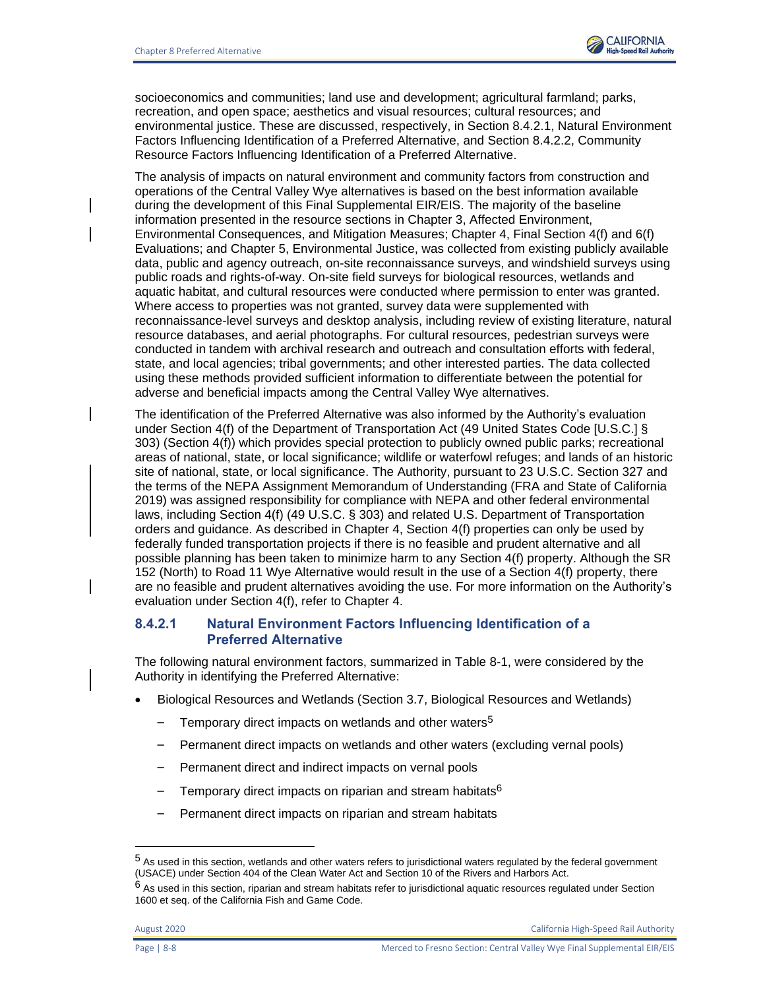

socioeconomics and communities; land use and development; agricultural farmland; parks, recreation, and open space; aesthetics and visual resources; cultural resources; and environmental justice. These are discussed, respectively, in Section 8.4.2.1, Natural Environment Factors Influencing Identification of a Preferred Alternative, and Section 8.4.2.2, Community Resource Factors Influencing Identification of a Preferred Alternative.

The analysis of impacts on natural environment and community factors from construction and operations of the Central Valley Wye alternatives is based on the best information available during the development of this Final Supplemental EIR/EIS. The majority of the baseline information presented in the resource sections in Chapter 3, Affected Environment, Environmental Consequences, and Mitigation Measures; Chapter 4, Final Section 4(f) and 6(f) Evaluations; and Chapter 5, Environmental Justice, was collected from existing publicly available data, public and agency outreach, on-site reconnaissance surveys, and windshield surveys using public roads and rights-of-way. On-site field surveys for biological resources, wetlands and aquatic habitat, and cultural resources were conducted where permission to enter was granted. Where access to properties was not granted, survey data were supplemented with reconnaissance-level surveys and desktop analysis, including review of existing literature, natural resource databases, and aerial photographs. For cultural resources, pedestrian surveys were conducted in tandem with archival research and outreach and consultation efforts with federal, state, and local agencies; tribal governments; and other interested parties. The data collected using these methods provided sufficient information to differentiate between the potential for adverse and beneficial impacts among the Central Valley Wye alternatives.

The identification of the Preferred Alternative was also informed by the Authority's evaluation under Section 4(f) of the Department of Transportation Act (49 United States Code [U.S.C.] § 303) (Section 4(f)) which provides special protection to publicly owned public parks; recreational areas of national, state, or local significance; wildlife or waterfowl refuges; and lands of an historic site of national, state, or local significance. The Authority, pursuant to 23 U.S.C. Section 327 and the terms of the NEPA Assignment Memorandum of Understanding (FRA and State of California 2019) was assigned responsibility for compliance with NEPA and other federal environmental laws, including Section 4(f) (49 U.S.C. § 303) and related U.S. Department of Transportation orders and guidance. As described in Chapter 4, Section 4(f) properties can only be used by federally funded transportation projects if there is no feasible and prudent alternative and all possible planning has been taken to minimize harm to any Section 4(f) property. Although the SR 152 (North) to Road 11 Wye Alternative would result in the use of a Section 4(f) property, there are no feasible and prudent alternatives avoiding the use. For more information on the Authority's evaluation under Section 4(f), refer to Chapter 4.

### **8.4.2.1 Natural Environment Factors Influencing Identification of a Preferred Alternative**

The following natural environment factors, summarized in Table 8-1, were considered by the Authority in identifying the Preferred Alternative:

- Biological Resources and Wetlands (Section 3.7, Biological Resources and Wetlands)
	- Temporary direct impacts on wetlands and other waters<sup>5</sup>
	- Permanent direct impacts on wetlands and other waters (excluding vernal pools)
	- Permanent direct and indirect impacts on vernal pools
	- Temporary direct impacts on riparian and stream habitats<sup>6</sup>
	- Permanent direct impacts on riparian and stream habitats

<sup>5</sup> As used in this section, wetlands and other waters refers to jurisdictional waters regulated by the federal government (USACE) under Section 404 of the Clean Water Act and Section 10 of the Rivers and Harbors Act.

 $6$  As used in this section, riparian and stream habitats refer to jurisdictional aquatic resources regulated under Section 1600 et seq. of the California Fish and Game Code.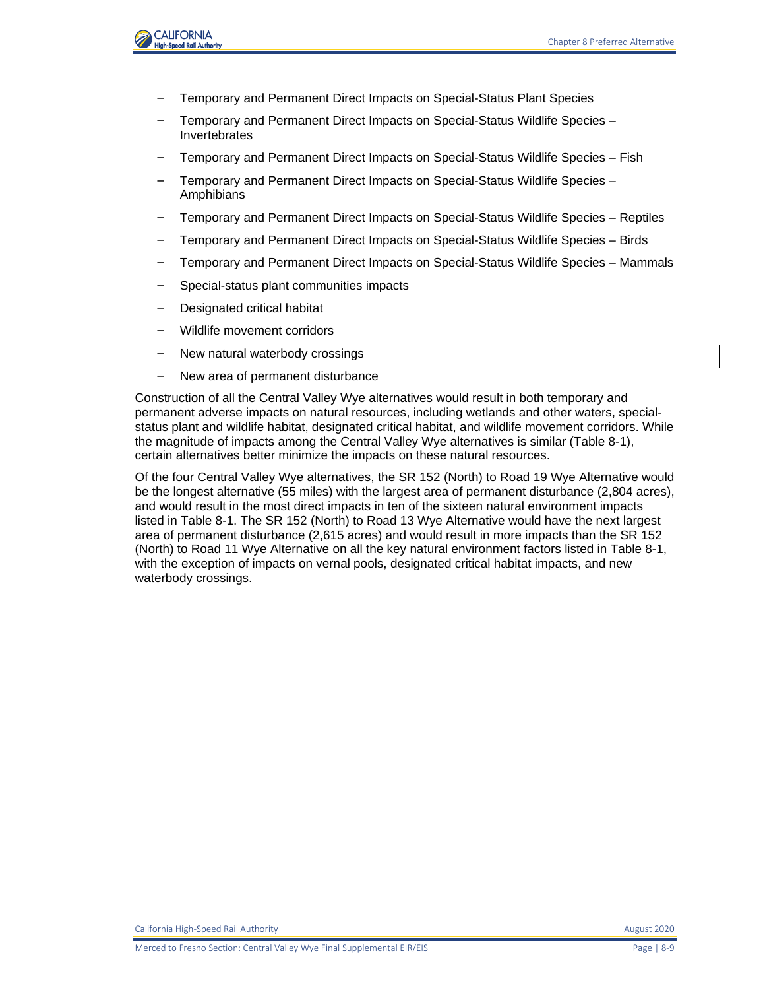

- Temporary and Permanent Direct Impacts on Special-Status Plant Species
- Temporary and Permanent Direct Impacts on Special-Status Wildlife Species Invertebrates
- Temporary and Permanent Direct Impacts on Special-Status Wildlife Species Fish
- Temporary and Permanent Direct Impacts on Special-Status Wildlife Species **Amphibians**
- Temporary and Permanent Direct Impacts on Special-Status Wildlife Species Reptiles
- Temporary and Permanent Direct Impacts on Special-Status Wildlife Species Birds
- Temporary and Permanent Direct Impacts on Special-Status Wildlife Species Mammals
- Special-status plant communities impacts
- Designated critical habitat
- Wildlife movement corridors
- New natural waterbody crossings
- New area of permanent disturbance

Construction of all the Central Valley Wye alternatives would result in both temporary and permanent adverse impacts on natural resources, including wetlands and other waters, specialstatus plant and wildlife habitat, designated critical habitat, and wildlife movement corridors. While the magnitude of impacts among the Central Valley Wye alternatives is similar [\(Table 8-1\)](#page-9-0), certain alternatives better minimize the impacts on these natural resources.

Of the four Central Valley Wye alternatives, the SR 152 (North) to Road 19 Wye Alternative would be the longest alternative (55 miles) with the largest area of permanent disturbance (2,804 acres), and would result in the most direct impacts in ten of the sixteen natural environment impacts listed in [Table 8-1.](#page-9-0) The SR 152 (North) to Road 13 Wye Alternative would have the next largest area of permanent disturbance (2,615 acres) and would result in more impacts than the SR 152 (North) to Road 11 Wye Alternative on all the key natural environment factors listed i[n Table 8-1,](#page-9-0) with the exception of impacts on vernal pools, designated critical habitat impacts, and new waterbody crossings.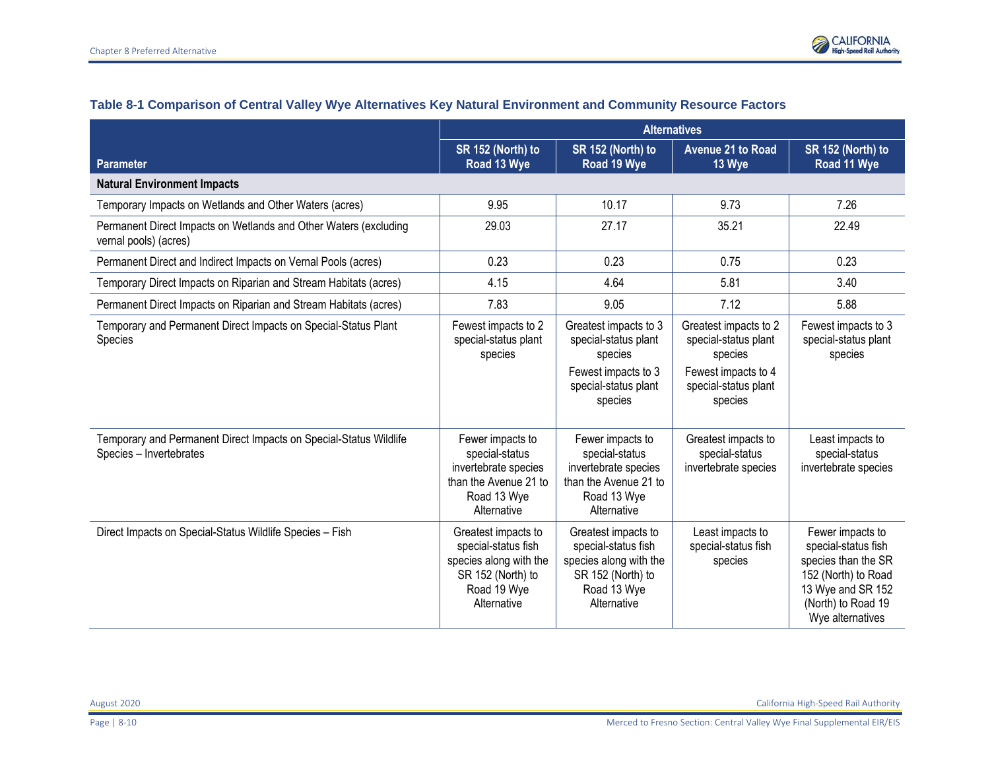

<span id="page-9-0"></span>

|                                                                                              | <b>Alternatives</b>                                                                                                     |                                                                                                                         |                                                                                                                    |                                                                                                                                                      |
|----------------------------------------------------------------------------------------------|-------------------------------------------------------------------------------------------------------------------------|-------------------------------------------------------------------------------------------------------------------------|--------------------------------------------------------------------------------------------------------------------|------------------------------------------------------------------------------------------------------------------------------------------------------|
| <b>Parameter</b>                                                                             | SR 152 (North) to<br>Road 13 Wye                                                                                        | SR 152 (North) to<br>Road 19 Wye                                                                                        | <b>Avenue 21 to Road</b><br>13 Wye                                                                                 | SR 152 (North) to<br>Road 11 Wye                                                                                                                     |
| <b>Natural Environment Impacts</b>                                                           |                                                                                                                         |                                                                                                                         |                                                                                                                    |                                                                                                                                                      |
| Temporary Impacts on Wetlands and Other Waters (acres)                                       | 9.95                                                                                                                    | 10.17                                                                                                                   | 9.73                                                                                                               | 7.26                                                                                                                                                 |
| Permanent Direct Impacts on Wetlands and Other Waters (excluding<br>vernal pools) (acres)    | 29.03                                                                                                                   | 27.17                                                                                                                   | 35.21                                                                                                              | 22.49                                                                                                                                                |
| Permanent Direct and Indirect Impacts on Vernal Pools (acres)                                | 0.23                                                                                                                    | 0.23                                                                                                                    | 0.75                                                                                                               | 0.23                                                                                                                                                 |
| Temporary Direct Impacts on Riparian and Stream Habitats (acres)                             | 4.15                                                                                                                    | 4.64                                                                                                                    | 5.81                                                                                                               | 3.40                                                                                                                                                 |
| Permanent Direct Impacts on Riparian and Stream Habitats (acres)                             | 7.83                                                                                                                    | 9.05                                                                                                                    | 7.12                                                                                                               | 5.88                                                                                                                                                 |
| Temporary and Permanent Direct Impacts on Special-Status Plant<br>Species                    | Fewest impacts to 2<br>special-status plant<br>species                                                                  | Greatest impacts to 3<br>special-status plant<br>species<br>Fewest impacts to 3<br>special-status plant<br>species      | Greatest impacts to 2<br>special-status plant<br>species<br>Fewest impacts to 4<br>special-status plant<br>species | Fewest impacts to 3<br>special-status plant<br>species                                                                                               |
| Temporary and Permanent Direct Impacts on Special-Status Wildlife<br>Species - Invertebrates | Fewer impacts to<br>special-status<br>invertebrate species<br>than the Avenue 21 to<br>Road 13 Wye<br>Alternative       | Fewer impacts to<br>special-status<br>invertebrate species<br>than the Avenue 21 to<br>Road 13 Wye<br>Alternative       | Greatest impacts to<br>special-status<br>invertebrate species                                                      | Least impacts to<br>special-status<br>invertebrate species                                                                                           |
| Direct Impacts on Special-Status Wildlife Species - Fish                                     | Greatest impacts to<br>special-status fish<br>species along with the<br>SR 152 (North) to<br>Road 19 Wye<br>Alternative | Greatest impacts to<br>special-status fish<br>species along with the<br>SR 152 (North) to<br>Road 13 Wye<br>Alternative | Least impacts to<br>special-status fish<br>species                                                                 | Fewer impacts to<br>special-status fish<br>species than the SR<br>152 (North) to Road<br>13 Wye and SR 152<br>(North) to Road 19<br>Wye alternatives |

### **Table 8-1 Comparison of Central Valley Wye Alternatives Key Natural Environment and Community Resource Factors**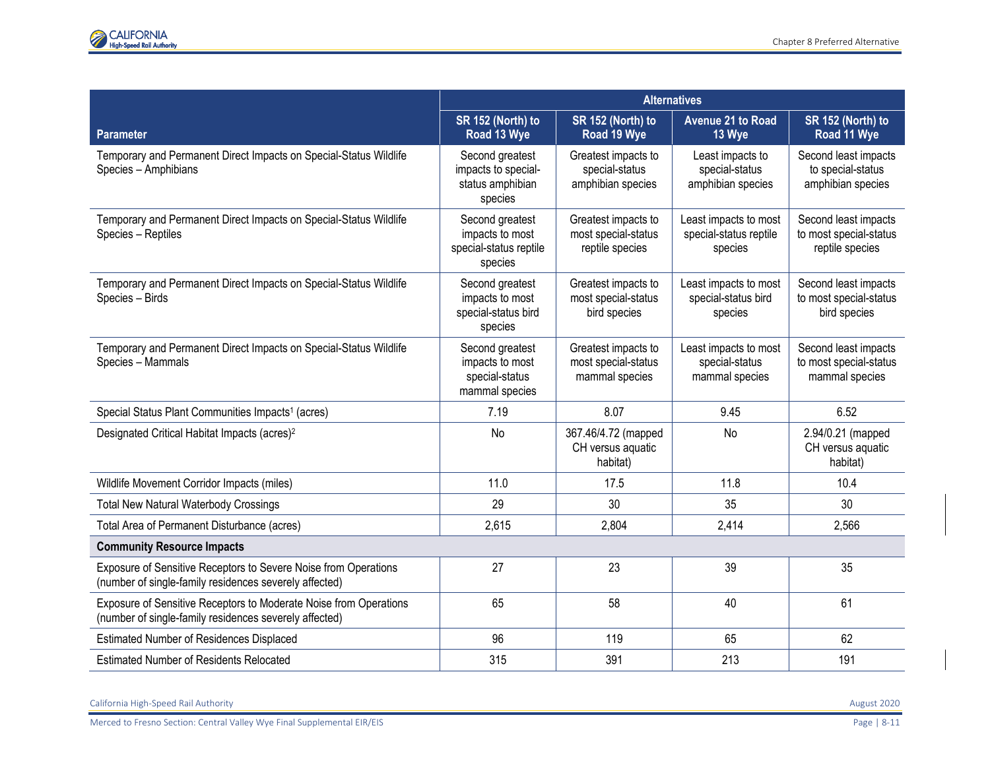|                                                                                                                             | <b>Alternatives</b>                                                     |                                                               |                                                            |                                                                   |
|-----------------------------------------------------------------------------------------------------------------------------|-------------------------------------------------------------------------|---------------------------------------------------------------|------------------------------------------------------------|-------------------------------------------------------------------|
| <b>Parameter</b>                                                                                                            | SR 152 (North) to<br>Road 13 Wye                                        | SR 152 (North) to<br>Road 19 Wye                              | <b>Avenue 21 to Road</b><br>13 Wye                         | SR 152 (North) to<br>Road 11 Wye                                  |
| Temporary and Permanent Direct Impacts on Special-Status Wildlife<br>Species - Amphibians                                   | Second greatest<br>impacts to special-<br>status amphibian<br>species   | Greatest impacts to<br>special-status<br>amphibian species    | Least impacts to<br>special-status<br>amphibian species    | Second least impacts<br>to special-status<br>amphibian species    |
| Temporary and Permanent Direct Impacts on Special-Status Wildlife<br>Species - Reptiles                                     | Second greatest<br>impacts to most<br>special-status reptile<br>species | Greatest impacts to<br>most special-status<br>reptile species | Least impacts to most<br>special-status reptile<br>species | Second least impacts<br>to most special-status<br>reptile species |
| Temporary and Permanent Direct Impacts on Special-Status Wildlife<br>Species - Birds                                        | Second greatest<br>impacts to most<br>special-status bird<br>species    | Greatest impacts to<br>most special-status<br>bird species    | Least impacts to most<br>special-status bird<br>species    | Second least impacts<br>to most special-status<br>bird species    |
| Temporary and Permanent Direct Impacts on Special-Status Wildlife<br>Species - Mammals                                      | Second greatest<br>impacts to most<br>special-status<br>mammal species  | Greatest impacts to<br>most special-status<br>mammal species  | Least impacts to most<br>special-status<br>mammal species  | Second least impacts<br>to most special-status<br>mammal species  |
| Special Status Plant Communities Impacts <sup>1</sup> (acres)                                                               | 7.19                                                                    | 8.07                                                          | 9.45                                                       | 6.52                                                              |
| Designated Critical Habitat Impacts (acres) <sup>2</sup>                                                                    | No                                                                      | 367.46/4.72 (mapped<br>CH versus aquatic<br>habitat)          | No                                                         | 2.94/0.21 (mapped<br>CH versus aquatic<br>habitat)                |
| Wildlife Movement Corridor Impacts (miles)                                                                                  | 11.0                                                                    | 17.5                                                          | 11.8                                                       | 10.4                                                              |
| <b>Total New Natural Waterbody Crossings</b>                                                                                | 29                                                                      | 30                                                            | 35                                                         | 30                                                                |
| Total Area of Permanent Disturbance (acres)                                                                                 | 2,615                                                                   | 2,804                                                         | 2,414                                                      | 2,566                                                             |
| <b>Community Resource Impacts</b>                                                                                           |                                                                         |                                                               |                                                            |                                                                   |
| Exposure of Sensitive Receptors to Severe Noise from Operations<br>(number of single-family residences severely affected)   | 27                                                                      | 23                                                            | 39                                                         | 35                                                                |
| Exposure of Sensitive Receptors to Moderate Noise from Operations<br>(number of single-family residences severely affected) | 65                                                                      | 58                                                            | 40                                                         | 61                                                                |
| Estimated Number of Residences Displaced                                                                                    | 96                                                                      | 119                                                           | 65                                                         | 62                                                                |
| <b>Estimated Number of Residents Relocated</b>                                                                              | 315                                                                     | 391                                                           | 213                                                        | 191                                                               |

California High-Speed Rail Authority August 2020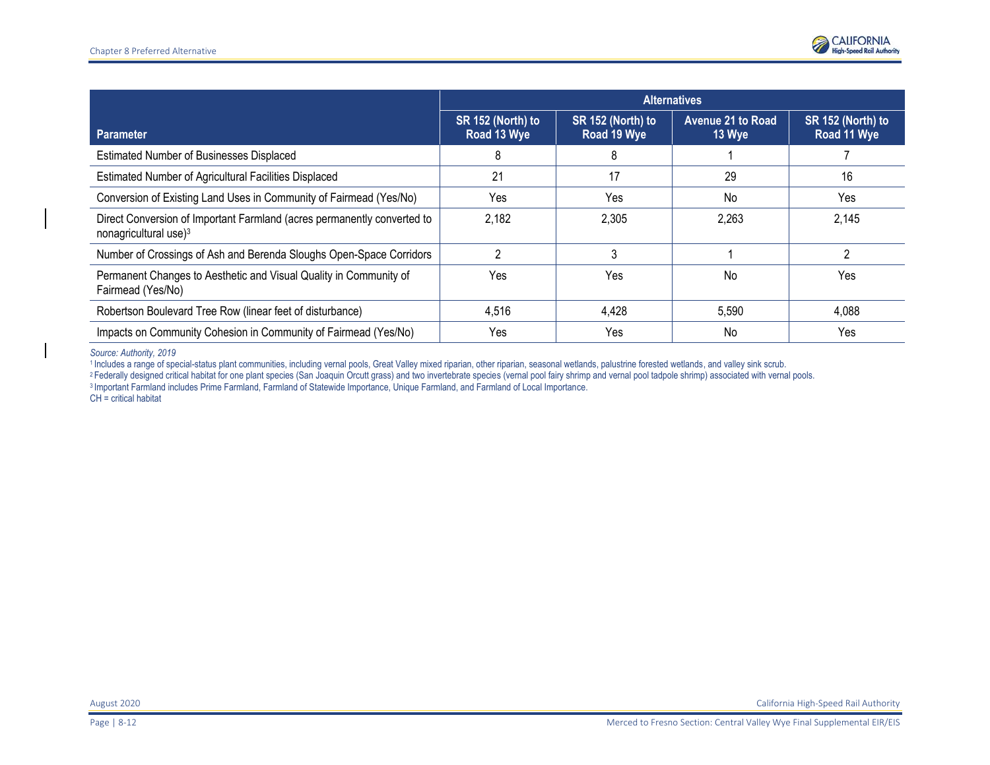

|                                                                                                              | <b>Alternatives</b>              |                                  |                                    |                                  |
|--------------------------------------------------------------------------------------------------------------|----------------------------------|----------------------------------|------------------------------------|----------------------------------|
| <b>Parameter</b>                                                                                             | SR 152 (North) to<br>Road 13 Wye | SR 152 (North) to<br>Road 19 Wye | <b>Avenue 21 to Road</b><br>13 Wye | SR 152 (North) to<br>Road 11 Wye |
| Estimated Number of Businesses Displaced                                                                     | 8                                | 8                                |                                    |                                  |
| Estimated Number of Agricultural Facilities Displaced                                                        | 21                               | 17                               | 29                                 | 16                               |
| Conversion of Existing Land Uses in Community of Fairmead (Yes/No)                                           | Yes                              | Yes                              | No                                 | Yes                              |
| Direct Conversion of Important Farmland (acres permanently converted to<br>nonagricultural use) <sup>3</sup> | 2,182                            | 2,305                            | 2,263                              | 2,145                            |
| Number of Crossings of Ash and Berenda Sloughs Open-Space Corridors                                          |                                  |                                  |                                    | റ                                |
| Permanent Changes to Aesthetic and Visual Quality in Community of<br>Fairmead (Yes/No)                       | Yes                              | Yes                              | No                                 | Yes                              |
| Robertson Boulevard Tree Row (linear feet of disturbance)                                                    | 4,516                            | 4,428                            | 5,590                              | 4,088                            |
| Impacts on Community Cohesion in Community of Fairmead (Yes/No)                                              | Yes                              | Yes                              | No                                 | Yes                              |

*Source: Authority, 2019*

<sup>1</sup>Includes a range of special-status plant communities, including vernal pools, Great Valley mixed riparian, other riparian, seasonal wetlands, palustrine forested wetlands, and valley sink scrub. 2Federally designed critical habitat for one plant species (San Joaquin Orcutt grass) and two invertebrate species (vernal pool fairy shrimp and vernal pool tadpole shrimp) associated with vernal pools. <sup>3</sup>Important Farmland includes Prime Farmland, Farmland of Statewide Importance, Unique Farmland, and Farmland of Local Importance. CH = critical habitat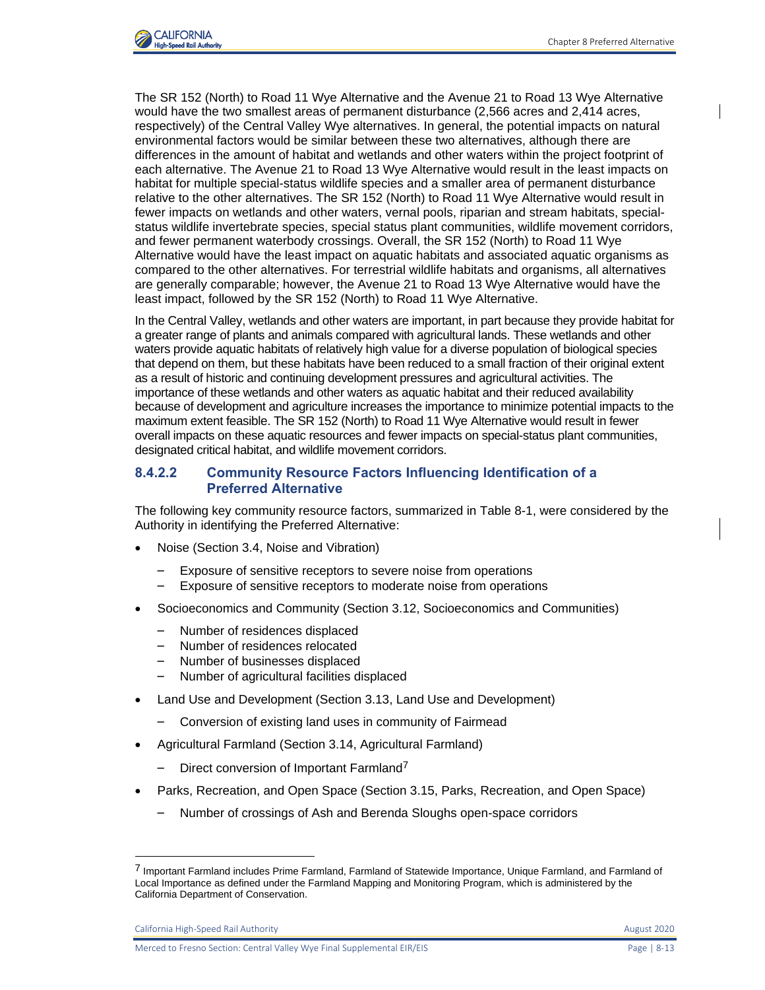

The SR 152 (North) to Road 11 Wye Alternative and the Avenue 21 to Road 13 Wye Alternative would have the two smallest areas of permanent disturbance (2,566 acres and 2,414 acres, respectively) of the Central Valley Wye alternatives. In general, the potential impacts on natural environmental factors would be similar between these two alternatives, although there are differences in the amount of habitat and wetlands and other waters within the project footprint of each alternative. The Avenue 21 to Road 13 Wye Alternative would result in the least impacts on habitat for multiple special-status wildlife species and a smaller area of permanent disturbance relative to the other alternatives. The SR 152 (North) to Road 11 Wye Alternative would result in fewer impacts on wetlands and other waters, vernal pools, riparian and stream habitats, specialstatus wildlife invertebrate species, special status plant communities, wildlife movement corridors, and fewer permanent waterbody crossings. Overall, the SR 152 (North) to Road 11 Wye Alternative would have the least impact on aquatic habitats and associated aquatic organisms as compared to the other alternatives. For terrestrial wildlife habitats and organisms, all alternatives are generally comparable; however, the Avenue 21 to Road 13 Wye Alternative would have the least impact, followed by the SR 152 (North) to Road 11 Wye Alternative.

In the Central Valley, wetlands and other waters are important, in part because they provide habitat for a greater range of plants and animals compared with agricultural lands. These wetlands and other waters provide aquatic habitats of relatively high value for a diverse population of biological species that depend on them, but these habitats have been reduced to a small fraction of their original extent as a result of historic and continuing development pressures and agricultural activities. The importance of these wetlands and other waters as aquatic habitat and their reduced availability because of development and agriculture increases the importance to minimize potential impacts to the maximum extent feasible. The SR 152 (North) to Road 11 Wye Alternative would result in fewer overall impacts on these aquatic resources and fewer impacts on special-status plant communities, designated critical habitat, and wildlife movement corridors.

#### **8.4.2.2 Community Resource Factors Influencing Identification of a Preferred Alternative**

The following key community resource factors, summarized in Table 8-1, were considered by the Authority in identifying the Preferred Alternative:

- Noise (Section 3.4, Noise and Vibration)
	- Exposure of sensitive receptors to severe noise from operations
	- Exposure of sensitive receptors to moderate noise from operations
- Socioeconomics and Community (Section 3.12, Socioeconomics and Communities)
	- Number of residences displaced
	- Number of residences relocated
	- Number of businesses displaced
	- Number of agricultural facilities displaced
- Land Use and Development (Section 3.13, Land Use and Development)
	- Conversion of existing land uses in community of Fairmead
- Agricultural Farmland (Section 3.14, Agricultural Farmland)
	- Direct conversion of Important Farmland<sup>7</sup>
- Parks, Recreation, and Open Space (Section 3.15, Parks, Recreation, and Open Space)
	- Number of crossings of Ash and Berenda Sloughs open-space corridors

California High-Speed Rail Authority **August 2020 August 2020** 

<sup>7</sup> Important Farmland includes Prime Farmland, Farmland of Statewide Importance, Unique Farmland, and Farmland of Local Importance as defined under the Farmland Mapping and Monitoring Program, which is administered by the California Department of Conservation.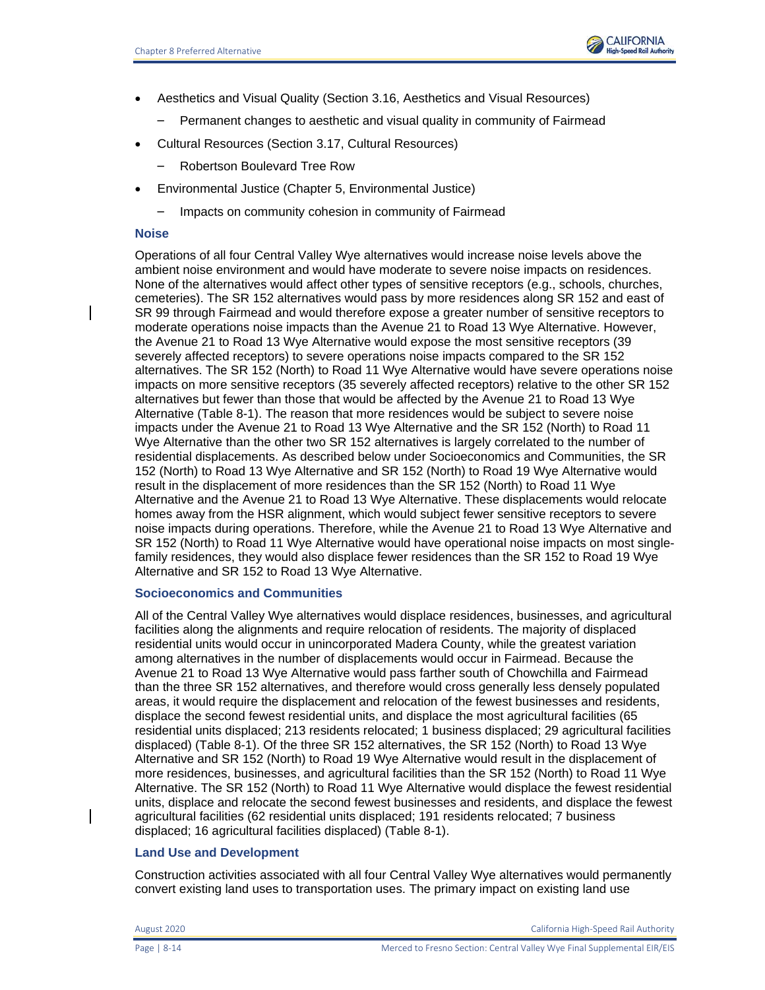

- Aesthetics and Visual Quality (Section 3.16, Aesthetics and Visual Resources)
	- Permanent changes to aesthetic and visual quality in community of Fairmead
- Cultural Resources (Section 3.17, Cultural Resources)
	- Robertson Boulevard Tree Row
- Environmental Justice (Chapter 5, Environmental Justice)
	- Impacts on community cohesion in community of Fairmead

### **Noise**

Operations of all four Central Valley Wye alternatives would increase noise levels above the ambient noise environment and would have moderate to severe noise impacts on residences. None of the alternatives would affect other types of sensitive receptors (e.g., schools, churches, cemeteries). The SR 152 alternatives would pass by more residences along SR 152 and east of SR 99 through Fairmead and would therefore expose a greater number of sensitive receptors to moderate operations noise impacts than the Avenue 21 to Road 13 Wye Alternative. However, the Avenue 21 to Road 13 Wye Alternative would expose the most sensitive receptors (39 severely affected receptors) to severe operations noise impacts compared to the SR 152 alternatives. The SR 152 (North) to Road 11 Wye Alternative would have severe operations noise impacts on more sensitive receptors (35 severely affected receptors) relative to the other SR 152 alternatives but fewer than those that would be affected by the Avenue 21 to Road 13 Wye Alternative (Table 8-1). The reason that more residences would be subject to severe noise impacts under the Avenue 21 to Road 13 Wye Alternative and the SR 152 (North) to Road 11 Wye Alternative than the other two SR 152 alternatives is largely correlated to the number of residential displacements. As described below under Socioeconomics and Communities, the SR 152 (North) to Road 13 Wye Alternative and SR 152 (North) to Road 19 Wye Alternative would result in the displacement of more residences than the SR 152 (North) to Road 11 Wye Alternative and the Avenue 21 to Road 13 Wye Alternative. These displacements would relocate homes away from the HSR alignment, which would subject fewer sensitive receptors to severe noise impacts during operations. Therefore, while the Avenue 21 to Road 13 Wye Alternative and SR 152 (North) to Road 11 Wye Alternative would have operational noise impacts on most singlefamily residences, they would also displace fewer residences than the SR 152 to Road 19 Wye Alternative and SR 152 to Road 13 Wye Alternative.

### **Socioeconomics and Communities**

All of the Central Valley Wye alternatives would displace residences, businesses, and agricultural facilities along the alignments and require relocation of residents. The majority of displaced residential units would occur in unincorporated Madera County, while the greatest variation among alternatives in the number of displacements would occur in Fairmead. Because the Avenue 21 to Road 13 Wye Alternative would pass farther south of Chowchilla and Fairmead than the three SR 152 alternatives, and therefore would cross generally less densely populated areas, it would require the displacement and relocation of the fewest businesses and residents, displace the second fewest residential units, and displace the most agricultural facilities (65 residential units displaced; 213 residents relocated; 1 business displaced; 29 agricultural facilities displaced) (Table 8-1). Of the three SR 152 alternatives, the SR 152 (North) to Road 13 Wye Alternative and SR 152 (North) to Road 19 Wye Alternative would result in the displacement of more residences, businesses, and agricultural facilities than the SR 152 (North) to Road 11 Wye Alternative. The SR 152 (North) to Road 11 Wye Alternative would displace the fewest residential units, displace and relocate the second fewest businesses and residents, and displace the fewest agricultural facilities (62 residential units displaced; 191 residents relocated; 7 business displaced; 16 agricultural facilities displaced) (Table 8-1).

### **Land Use and Development**

Construction activities associated with all four Central Valley Wye alternatives would permanently convert existing land uses to transportation uses. The primary impact on existing land use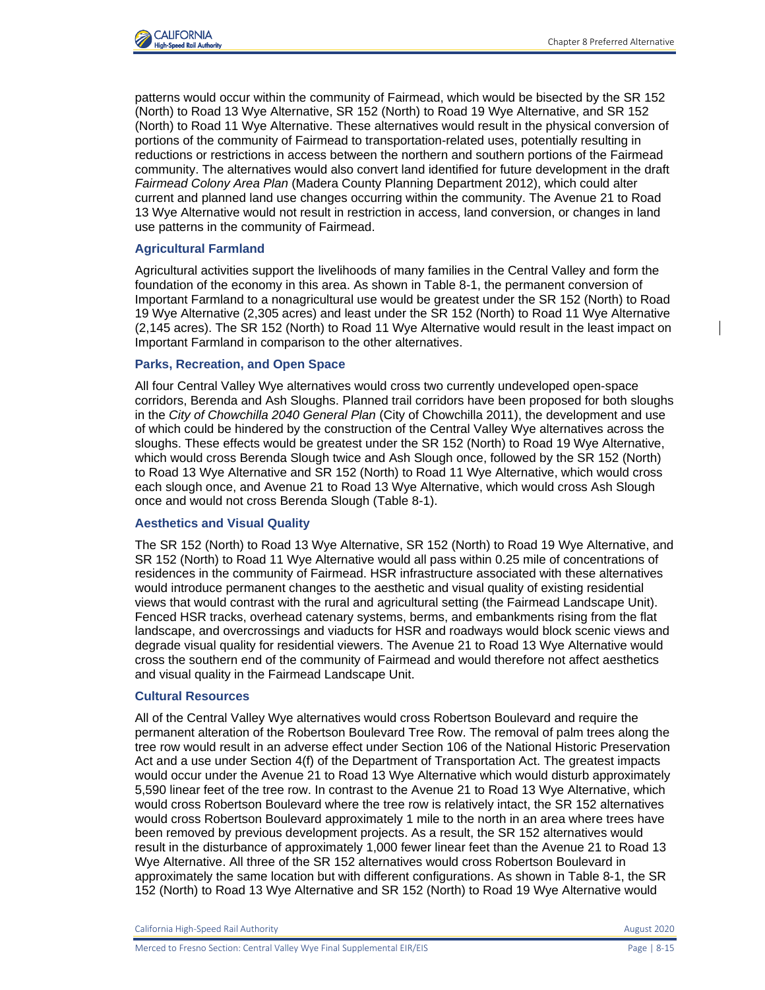patterns would occur within the community of Fairmead, which would be bisected by the SR 152 (North) to Road 13 Wye Alternative, SR 152 (North) to Road 19 Wye Alternative, and SR 152 (North) to Road 11 Wye Alternative. These alternatives would result in the physical conversion of portions of the community of Fairmead to transportation-related uses, potentially resulting in reductions or restrictions in access between the northern and southern portions of the Fairmead community. The alternatives would also convert land identified for future development in the draft *Fairmead Colony Area Plan* (Madera County Planning Department 2012), which could alter current and planned land use changes occurring within the community. The Avenue 21 to Road 13 Wye Alternative would not result in restriction in access, land conversion, or changes in land use patterns in the community of Fairmead.

### **Agricultural Farmland**

Agricultural activities support the livelihoods of many families in the Central Valley and form the foundation of the economy in this area. As shown in Table 8-1, the permanent conversion of Important Farmland to a nonagricultural use would be greatest under the SR 152 (North) to Road 19 Wye Alternative (2,305 acres) and least under the SR 152 (North) to Road 11 Wye Alternative (2,145 acres). The SR 152 (North) to Road 11 Wye Alternative would result in the least impact on Important Farmland in comparison to the other alternatives.

### **Parks, Recreation, and Open Space**

All four Central Valley Wye alternatives would cross two currently undeveloped open-space corridors, Berenda and Ash Sloughs. Planned trail corridors have been proposed for both sloughs in the *City of Chowchilla 2040 General Plan* (City of Chowchilla 2011), the development and use of which could be hindered by the construction of the Central Valley Wye alternatives across the sloughs. These effects would be greatest under the SR 152 (North) to Road 19 Wye Alternative, which would cross Berenda Slough twice and Ash Slough once, followed by the SR 152 (North) to Road 13 Wye Alternative and SR 152 (North) to Road 11 Wye Alternative, which would cross each slough once, and Avenue 21 to Road 13 Wye Alternative, which would cross Ash Slough once and would not cross Berenda Slough (Table 8-1).

#### **Aesthetics and Visual Quality**

The SR 152 (North) to Road 13 Wye Alternative, SR 152 (North) to Road 19 Wye Alternative, and SR 152 (North) to Road 11 Wye Alternative would all pass within 0.25 mile of concentrations of residences in the community of Fairmead. HSR infrastructure associated with these alternatives would introduce permanent changes to the aesthetic and visual quality of existing residential views that would contrast with the rural and agricultural setting (the Fairmead Landscape Unit). Fenced HSR tracks, overhead catenary systems, berms, and embankments rising from the flat landscape, and overcrossings and viaducts for HSR and roadways would block scenic views and degrade visual quality for residential viewers. The Avenue 21 to Road 13 Wye Alternative would cross the southern end of the community of Fairmead and would therefore not affect aesthetics and visual quality in the Fairmead Landscape Unit.

### **Cultural Resources**

All of the Central Valley Wye alternatives would cross Robertson Boulevard and require the permanent alteration of the Robertson Boulevard Tree Row. The removal of palm trees along the tree row would result in an adverse effect under Section 106 of the National Historic Preservation Act and a use under Section 4(f) of the Department of Transportation Act. The greatest impacts would occur under the Avenue 21 to Road 13 Wye Alternative which would disturb approximately 5,590 linear feet of the tree row. In contrast to the Avenue 21 to Road 13 Wye Alternative, which would cross Robertson Boulevard where the tree row is relatively intact, the SR 152 alternatives would cross Robertson Boulevard approximately 1 mile to the north in an area where trees have been removed by previous development projects. As a result, the SR 152 alternatives would result in the disturbance of approximately 1,000 fewer linear feet than the Avenue 21 to Road 13 Wye Alternative. All three of the SR 152 alternatives would cross Robertson Boulevard in approximately the same location but with different configurations. As shown in Table 8-1, the SR 152 (North) to Road 13 Wye Alternative and SR 152 (North) to Road 19 Wye Alternative would

California High-Speed Rail Authority **August 2020 August 2020**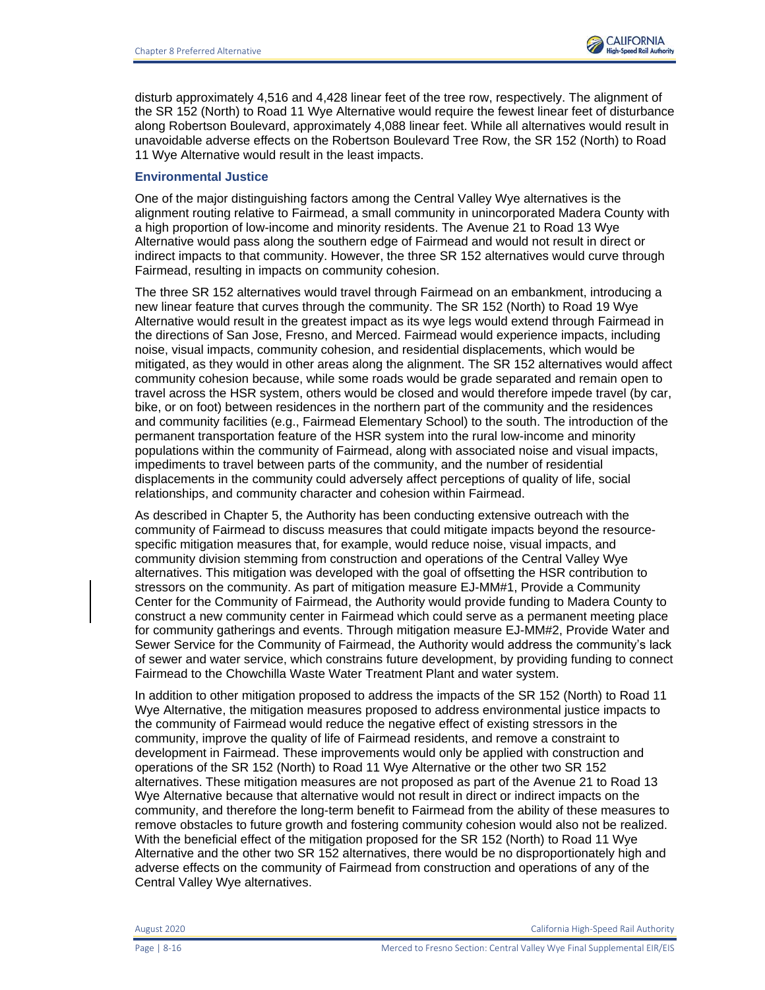

disturb approximately 4,516 and 4,428 linear feet of the tree row, respectively. The alignment of the SR 152 (North) to Road 11 Wye Alternative would require the fewest linear feet of disturbance along Robertson Boulevard, approximately 4,088 linear feet. While all alternatives would result in unavoidable adverse effects on the Robertson Boulevard Tree Row, the SR 152 (North) to Road 11 Wye Alternative would result in the least impacts.

#### **Environmental Justice**

One of the major distinguishing factors among the Central Valley Wye alternatives is the alignment routing relative to Fairmead, a small community in unincorporated Madera County with a high proportion of low-income and minority residents. The Avenue 21 to Road 13 Wye Alternative would pass along the southern edge of Fairmead and would not result in direct or indirect impacts to that community. However, the three SR 152 alternatives would curve through Fairmead, resulting in impacts on community cohesion.

The three SR 152 alternatives would travel through Fairmead on an embankment, introducing a new linear feature that curves through the community. The SR 152 (North) to Road 19 Wye Alternative would result in the greatest impact as its wye legs would extend through Fairmead in the directions of San Jose, Fresno, and Merced. Fairmead would experience impacts, including noise, visual impacts, community cohesion, and residential displacements, which would be mitigated, as they would in other areas along the alignment. The SR 152 alternatives would affect community cohesion because, while some roads would be grade separated and remain open to travel across the HSR system, others would be closed and would therefore impede travel (by car, bike, or on foot) between residences in the northern part of the community and the residences and community facilities (e.g., Fairmead Elementary School) to the south. The introduction of the permanent transportation feature of the HSR system into the rural low-income and minority populations within the community of Fairmead, along with associated noise and visual impacts, impediments to travel between parts of the community, and the number of residential displacements in the community could adversely affect perceptions of quality of life, social relationships, and community character and cohesion within Fairmead.

As described in Chapter 5, the Authority has been conducting extensive outreach with the community of Fairmead to discuss measures that could mitigate impacts beyond the resourcespecific mitigation measures that, for example, would reduce noise, visual impacts, and community division stemming from construction and operations of the Central Valley Wye alternatives. This mitigation was developed with the goal of offsetting the HSR contribution to stressors on the community. As part of mitigation measure EJ-MM#1, Provide a Community Center for the Community of Fairmead, the Authority would provide funding to Madera County to construct a new community center in Fairmead which could serve as a permanent meeting place for community gatherings and events. Through mitigation measure EJ-MM#2, Provide Water and Sewer Service for the Community of Fairmead, the Authority would address the community's lack of sewer and water service, which constrains future development, by providing funding to connect Fairmead to the Chowchilla Waste Water Treatment Plant and water system.

In addition to other mitigation proposed to address the impacts of the SR 152 (North) to Road 11 Wye Alternative, the mitigation measures proposed to address environmental justice impacts to the community of Fairmead would reduce the negative effect of existing stressors in the community, improve the quality of life of Fairmead residents, and remove a constraint to development in Fairmead. These improvements would only be applied with construction and operations of the SR 152 (North) to Road 11 Wye Alternative or the other two SR 152 alternatives. These mitigation measures are not proposed as part of the Avenue 21 to Road 13 Wye Alternative because that alternative would not result in direct or indirect impacts on the community, and therefore the long-term benefit to Fairmead from the ability of these measures to remove obstacles to future growth and fostering community cohesion would also not be realized. With the beneficial effect of the mitigation proposed for the SR 152 (North) to Road 11 Wye Alternative and the other two SR 152 alternatives, there would be no disproportionately high and adverse effects on the community of Fairmead from construction and operations of any of the Central Valley Wye alternatives.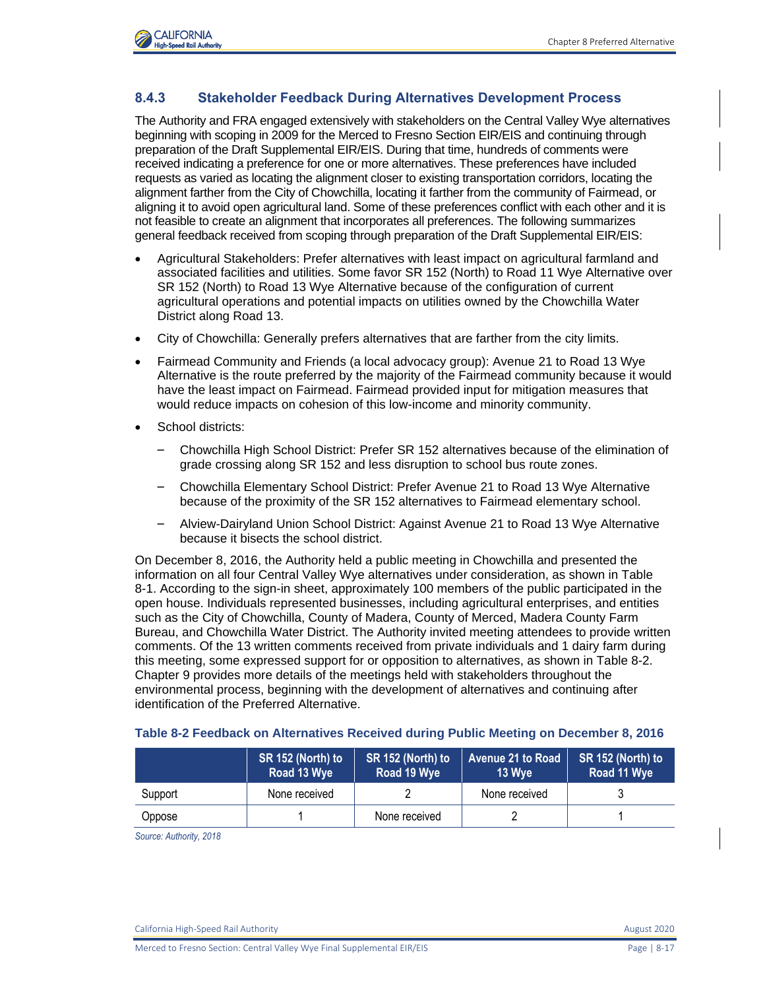

### **8.4.3 Stakeholder Feedback During Alternatives Development Process**

The Authority and FRA engaged extensively with stakeholders on the Central Valley Wye alternatives beginning with scoping in 2009 for the Merced to Fresno Section EIR/EIS and continuing through preparation of the Draft Supplemental EIR/EIS. During that time, hundreds of comments were received indicating a preference for one or more alternatives. These preferences have included requests as varied as locating the alignment closer to existing transportation corridors, locating the alignment farther from the City of Chowchilla, locating it farther from the community of Fairmead, or aligning it to avoid open agricultural land. Some of these preferences conflict with each other and it is not feasible to create an alignment that incorporates all preferences. The following summarizes general feedback received from scoping through preparation of the Draft Supplemental EIR/EIS:

- Agricultural Stakeholders: Prefer alternatives with least impact on agricultural farmland and associated facilities and utilities. Some favor SR 152 (North) to Road 11 Wye Alternative over SR 152 (North) to Road 13 Wye Alternative because of the configuration of current agricultural operations and potential impacts on utilities owned by the Chowchilla Water District along Road 13.
- City of Chowchilla: Generally prefers alternatives that are farther from the city limits.
- Fairmead Community and Friends (a local advocacy group): Avenue 21 to Road 13 Wye Alternative is the route preferred by the majority of the Fairmead community because it would have the least impact on Fairmead. Fairmead provided input for mitigation measures that would reduce impacts on cohesion of this low-income and minority community.
- School districts:
	- Chowchilla High School District: Prefer SR 152 alternatives because of the elimination of grade crossing along SR 152 and less disruption to school bus route zones.
	- Chowchilla Elementary School District: Prefer Avenue 21 to Road 13 Wye Alternative because of the proximity of the SR 152 alternatives to Fairmead elementary school.
	- Alview-Dairyland Union School District: Against Avenue 21 to Road 13 Wye Alternative because it bisects the school district.

On December 8, 2016, the Authority held a public meeting in Chowchilla and presented the information on all four Central Valley Wye alternatives under consideration, as shown in [Table](#page-9-0)  [8-1.](#page-9-0) According to the sign-in sheet, approximately 100 members of the public participated in the open house. Individuals represented businesses, including agricultural enterprises, and entities such as the City of Chowchilla, County of Madera, County of Merced, Madera County Farm Bureau, and Chowchilla Water District. The Authority invited meeting attendees to provide written comments. Of the 13 written comments received from private individuals and 1 dairy farm during this meeting, some expressed support for or opposition to alternatives, as shown in [Table 8-2.](#page-16-0) Chapter 9 provides more details of the meetings held with stakeholders throughout the environmental process, beginning with the development of alternatives and continuing after identification of the Preferred Alternative.

|         | SR 152 (North) to<br>Road 13 Wye | SR 152 (North) to<br>Road 19 Wye | Avenue 21 to Road<br>13 Wye | SR 152 (North) to<br>Road 11 Wye |
|---------|----------------------------------|----------------------------------|-----------------------------|----------------------------------|
| Support | None received                    |                                  | None received               |                                  |
| Oppose  |                                  | None received                    |                             |                                  |

#### <span id="page-16-0"></span>**Table 8-2 Feedback on Alternatives Received during Public Meeting on December 8, 2016**

*Source: Authority, 2018*

California High-Speed Rail Authority **August 2020** 2020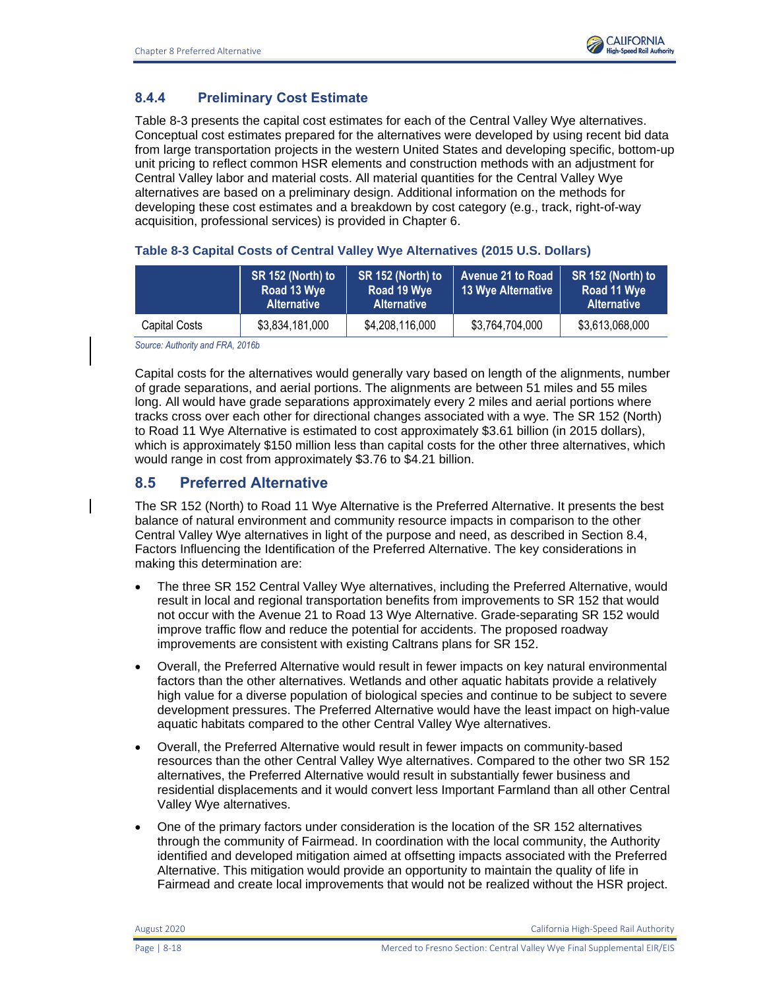## **8.4.4 Preliminary Cost Estimate**

[Table 8-3](#page-17-0) presents the capital cost estimates for each of the Central Valley Wye alternatives. Conceptual cost estimates prepared for the alternatives were developed by using recent bid data from large transportation projects in the western United States and developing specific, bottom-up unit pricing to reflect common HSR elements and construction methods with an adjustment for Central Valley labor and material costs. All material quantities for the Central Valley Wye alternatives are based on a preliminary design. Additional information on the methods for developing these cost estimates and a breakdown by cost category (e.g., track, right-of-way acquisition, professional services) is provided in Chapter 6.

<span id="page-17-0"></span>

|  |  | Table 8-3 Capital Costs of Central Valley Wye Alternatives (2015 U.S. Dollars) |
|--|--|--------------------------------------------------------------------------------|
|  |  |                                                                                |

|               | SR 152 (North) to<br>Road 13 Wye<br><b>Alternative</b> | SR 152 (North) to<br>Road 19 Wye<br><b>Alternative</b> | Avenue 21 to Road<br>13 Wye Alternative | SR 152 (North) to<br>Road 11 Wye<br><b>Alternative</b> |
|---------------|--------------------------------------------------------|--------------------------------------------------------|-----------------------------------------|--------------------------------------------------------|
| Capital Costs | \$3,834,181,000                                        | \$4,208,116,000                                        | \$3,764,704,000                         | \$3,613,068,000                                        |

*Source: Authority and FRA, 2016b*

Capital costs for the alternatives would generally vary based on length of the alignments, number of grade separations, and aerial portions. The alignments are between 51 miles and 55 miles long. All would have grade separations approximately every 2 miles and aerial portions where tracks cross over each other for directional changes associated with a wye. The SR 152 (North) to Road 11 Wye Alternative is estimated to cost approximately \$3.61 billion (in 2015 dollars), which is approximately \$150 million less than capital costs for the other three alternatives, which would range in cost from approximately \$3.76 to \$4.21 billion.

## **8.5 Preferred Alternative**

The SR 152 (North) to Road 11 Wye Alternative is the Preferred Alternative. It presents the best balance of natural environment and community resource impacts in comparison to the other Central Valley Wye alternatives in light of the purpose and need, as described in Section 8.4, Factors Influencing the Identification of the Preferred Alternative. The key considerations in making this determination are:

- The three SR 152 Central Valley Wye alternatives, including the Preferred Alternative, would result in local and regional transportation benefits from improvements to SR 152 that would not occur with the Avenue 21 to Road 13 Wye Alternative. Grade-separating SR 152 would improve traffic flow and reduce the potential for accidents. The proposed roadway improvements are consistent with existing Caltrans plans for SR 152.
- Overall, the Preferred Alternative would result in fewer impacts on key natural environmental factors than the other alternatives. Wetlands and other aquatic habitats provide a relatively high value for a diverse population of biological species and continue to be subject to severe development pressures. The Preferred Alternative would have the least impact on high-value aquatic habitats compared to the other Central Valley Wye alternatives.
- Overall, the Preferred Alternative would result in fewer impacts on community-based resources than the other Central Valley Wye alternatives. Compared to the other two SR 152 alternatives, the Preferred Alternative would result in substantially fewer business and residential displacements and it would convert less Important Farmland than all other Central Valley Wye alternatives.
- One of the primary factors under consideration is the location of the SR 152 alternatives through the community of Fairmead. In coordination with the local community, the Authority identified and developed mitigation aimed at offsetting impacts associated with the Preferred Alternative. This mitigation would provide an opportunity to maintain the quality of life in Fairmead and create local improvements that would not be realized without the HSR project.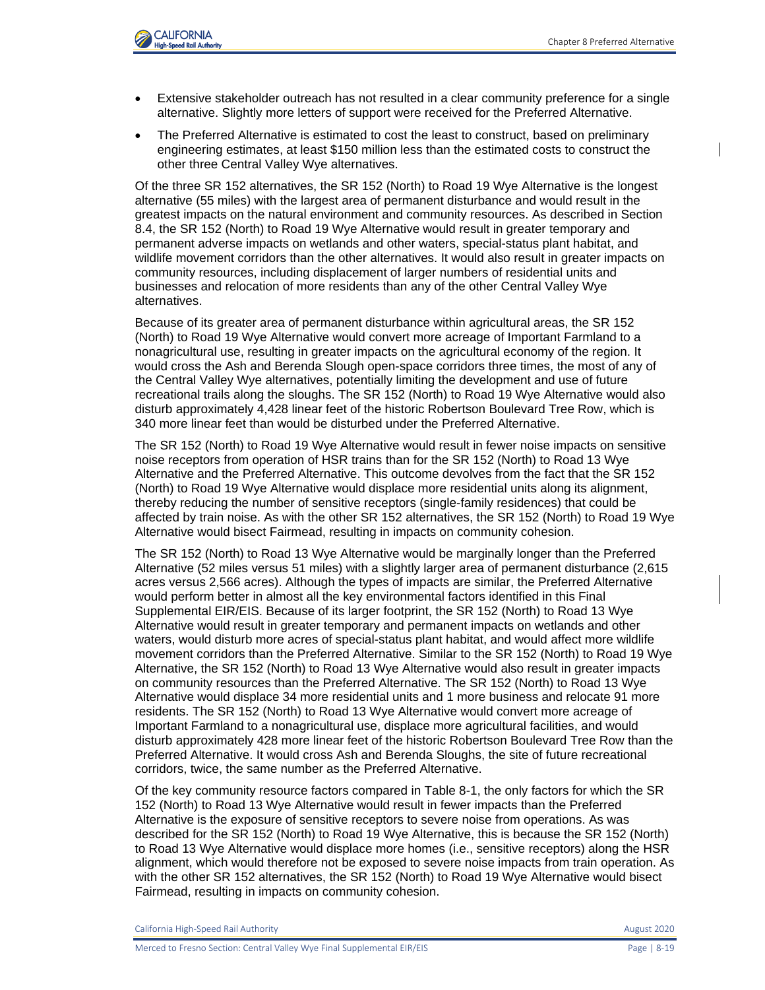

- Extensive stakeholder outreach has not resulted in a clear community preference for a single alternative. Slightly more letters of support were received for the Preferred Alternative.
- The Preferred Alternative is estimated to cost the least to construct, based on preliminary engineering estimates, at least \$150 million less than the estimated costs to construct the other three Central Valley Wye alternatives.

Of the three SR 152 alternatives, the SR 152 (North) to Road 19 Wye Alternative is the longest alternative (55 miles) with the largest area of permanent disturbance and would result in the greatest impacts on the natural environment and community resources. As described in Section 8.4, the SR 152 (North) to Road 19 Wye Alternative would result in greater temporary and permanent adverse impacts on wetlands and other waters, special-status plant habitat, and wildlife movement corridors than the other alternatives. It would also result in greater impacts on community resources, including displacement of larger numbers of residential units and businesses and relocation of more residents than any of the other Central Valley Wye alternatives.

Because of its greater area of permanent disturbance within agricultural areas, the SR 152 (North) to Road 19 Wye Alternative would convert more acreage of Important Farmland to a nonagricultural use, resulting in greater impacts on the agricultural economy of the region. It would cross the Ash and Berenda Slough open-space corridors three times, the most of any of the Central Valley Wye alternatives, potentially limiting the development and use of future recreational trails along the sloughs. The SR 152 (North) to Road 19 Wye Alternative would also disturb approximately 4,428 linear feet of the historic Robertson Boulevard Tree Row, which is 340 more linear feet than would be disturbed under the Preferred Alternative.

The SR 152 (North) to Road 19 Wye Alternative would result in fewer noise impacts on sensitive noise receptors from operation of HSR trains than for the SR 152 (North) to Road 13 Wye Alternative and the Preferred Alternative. This outcome devolves from the fact that the SR 152 (North) to Road 19 Wye Alternative would displace more residential units along its alignment, thereby reducing the number of sensitive receptors (single-family residences) that could be affected by train noise. As with the other SR 152 alternatives, the SR 152 (North) to Road 19 Wye Alternative would bisect Fairmead, resulting in impacts on community cohesion.

The SR 152 (North) to Road 13 Wye Alternative would be marginally longer than the Preferred Alternative (52 miles versus 51 miles) with a slightly larger area of permanent disturbance (2,615 acres versus 2,566 acres). Although the types of impacts are similar, the Preferred Alternative would perform better in almost all the key environmental factors identified in this Final Supplemental EIR/EIS. Because of its larger footprint, the SR 152 (North) to Road 13 Wye Alternative would result in greater temporary and permanent impacts on wetlands and other waters, would disturb more acres of special-status plant habitat, and would affect more wildlife movement corridors than the Preferred Alternative. Similar to the SR 152 (North) to Road 19 Wye Alternative, the SR 152 (North) to Road 13 Wye Alternative would also result in greater impacts on community resources than the Preferred Alternative. The SR 152 (North) to Road 13 Wye Alternative would displace 34 more residential units and 1 more business and relocate 91 more residents. The SR 152 (North) to Road 13 Wye Alternative would convert more acreage of Important Farmland to a nonagricultural use, displace more agricultural facilities, and would disturb approximately 428 more linear feet of the historic Robertson Boulevard Tree Row than the Preferred Alternative. It would cross Ash and Berenda Sloughs, the site of future recreational corridors, twice, the same number as the Preferred Alternative.

Of the key community resource factors compared in [Table 8-1,](#page-9-0) the only factors for which the SR 152 (North) to Road 13 Wye Alternative would result in fewer impacts than the Preferred Alternative is the exposure of sensitive receptors to severe noise from operations. As was described for the SR 152 (North) to Road 19 Wye Alternative, this is because the SR 152 (North) to Road 13 Wye Alternative would displace more homes (i.e., sensitive receptors) along the HSR alignment, which would therefore not be exposed to severe noise impacts from train operation. As with the other SR 152 alternatives, the SR 152 (North) to Road 19 Wye Alternative would bisect Fairmead, resulting in impacts on community cohesion.

California High-Speed Rail Authority **August 2020 August 2020**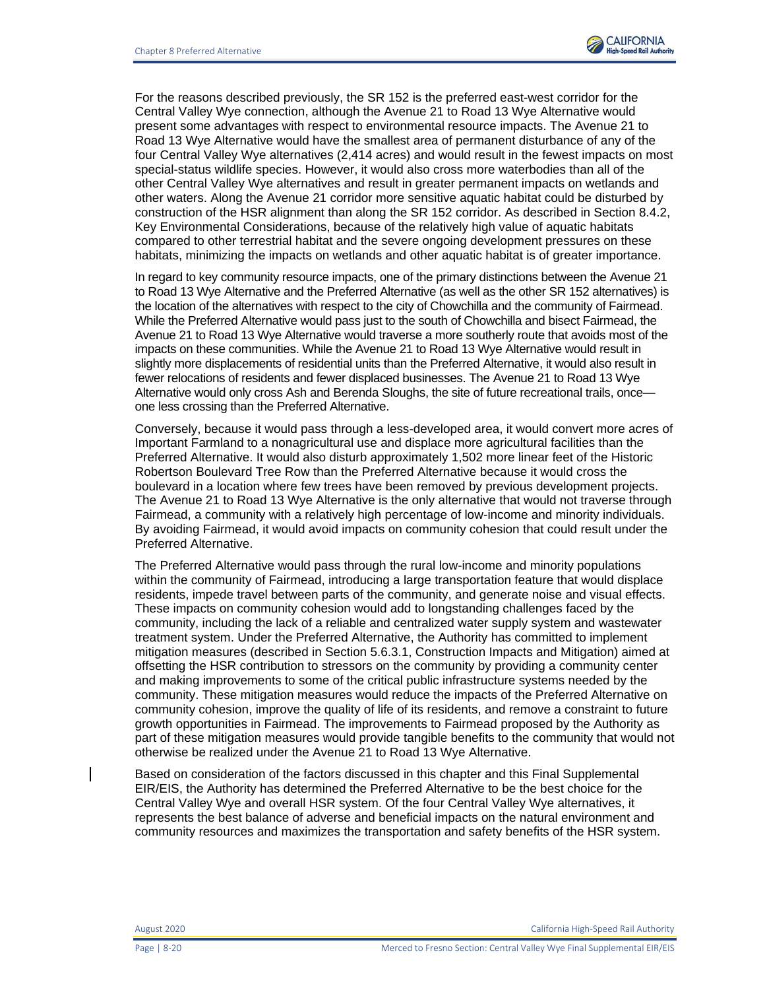

For the reasons described previously, the SR 152 is the preferred east-west corridor for the Central Valley Wye connection, although the Avenue 21 to Road 13 Wye Alternative would present some advantages with respect to environmental resource impacts. The Avenue 21 to Road 13 Wye Alternative would have the smallest area of permanent disturbance of any of the four Central Valley Wye alternatives (2,414 acres) and would result in the fewest impacts on most special-status wildlife species. However, it would also cross more waterbodies than all of the other Central Valley Wye alternatives and result in greater permanent impacts on wetlands and other waters. Along the Avenue 21 corridor more sensitive aquatic habitat could be disturbed by construction of the HSR alignment than along the SR 152 corridor. As described in Section 8.4.2, Key Environmental Considerations, because of the relatively high value of aquatic habitats compared to other terrestrial habitat and the severe ongoing development pressures on these habitats, minimizing the impacts on wetlands and other aquatic habitat is of greater importance.

In regard to key community resource impacts, one of the primary distinctions between the Avenue 21 to Road 13 Wye Alternative and the Preferred Alternative (as well as the other SR 152 alternatives) is the location of the alternatives with respect to the city of Chowchilla and the community of Fairmead. While the Preferred Alternative would pass just to the south of Chowchilla and bisect Fairmead, the Avenue 21 to Road 13 Wye Alternative would traverse a more southerly route that avoids most of the impacts on these communities. While the Avenue 21 to Road 13 Wye Alternative would result in slightly more displacements of residential units than the Preferred Alternative, it would also result in fewer relocations of residents and fewer displaced businesses. The Avenue 21 to Road 13 Wye Alternative would only cross Ash and Berenda Sloughs, the site of future recreational trails, once one less crossing than the Preferred Alternative.

Conversely, because it would pass through a less-developed area, it would convert more acres of Important Farmland to a nonagricultural use and displace more agricultural facilities than the Preferred Alternative. It would also disturb approximately 1,502 more linear feet of the Historic Robertson Boulevard Tree Row than the Preferred Alternative because it would cross the boulevard in a location where few trees have been removed by previous development projects. The Avenue 21 to Road 13 Wye Alternative is the only alternative that would not traverse through Fairmead, a community with a relatively high percentage of low-income and minority individuals. By avoiding Fairmead, it would avoid impacts on community cohesion that could result under the Preferred Alternative.

The Preferred Alternative would pass through the rural low-income and minority populations within the community of Fairmead, introducing a large transportation feature that would displace residents, impede travel between parts of the community, and generate noise and visual effects. These impacts on community cohesion would add to longstanding challenges faced by the community, including the lack of a reliable and centralized water supply system and wastewater treatment system. Under the Preferred Alternative, the Authority has committed to implement mitigation measures (described in Section 5.6.3.1, Construction Impacts and Mitigation) aimed at offsetting the HSR contribution to stressors on the community by providing a community center and making improvements to some of the critical public infrastructure systems needed by the community. These mitigation measures would reduce the impacts of the Preferred Alternative on community cohesion, improve the quality of life of its residents, and remove a constraint to future growth opportunities in Fairmead. The improvements to Fairmead proposed by the Authority as part of these mitigation measures would provide tangible benefits to the community that would not otherwise be realized under the Avenue 21 to Road 13 Wye Alternative.

Based on consideration of the factors discussed in this chapter and this Final Supplemental EIR/EIS, the Authority has determined the Preferred Alternative to be the best choice for the Central Valley Wye and overall HSR system. Of the four Central Valley Wye alternatives, it represents the best balance of adverse and beneficial impacts on the natural environment and community resources and maximizes the transportation and safety benefits of the HSR system.

August 2020 California High-Speed Rail Authority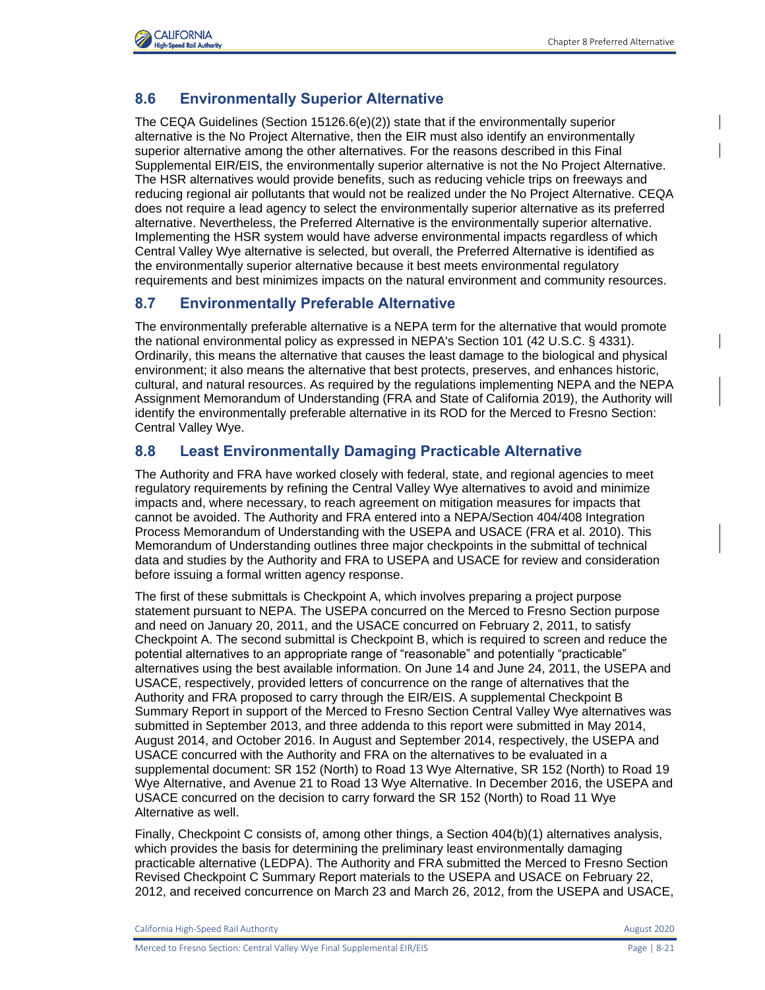

## **8.6 Environmentally Superior Alternative**

The CEQA Guidelines (Section 15126.6(e)(2)) state that if the environmentally superior alternative is the No Project Alternative, then the EIR must also identify an environmentally superior alternative among the other alternatives. For the reasons described in this Final Supplemental EIR/EIS, the environmentally superior alternative is not the No Project Alternative. The HSR alternatives would provide benefits, such as reducing vehicle trips on freeways and reducing regional air pollutants that would not be realized under the No Project Alternative. CEQA does not require a lead agency to select the environmentally superior alternative as its preferred alternative. Nevertheless, the Preferred Alternative is the environmentally superior alternative. Implementing the HSR system would have adverse environmental impacts regardless of which Central Valley Wye alternative is selected, but overall, the Preferred Alternative is identified as the environmentally superior alternative because it best meets environmental regulatory requirements and best minimizes impacts on the natural environment and community resources.

## **8.7 Environmentally Preferable Alternative**

The environmentally preferable alternative is a NEPA term for the alternative that would promote the national environmental policy as expressed in NEPA's Section 101 (42 U.S.C. § 4331). Ordinarily, this means the alternative that causes the least damage to the biological and physical environment; it also means the alternative that best protects, preserves, and enhances historic, cultural, and natural resources. As required by the regulations implementing NEPA and the NEPA Assignment Memorandum of Understanding (FRA and State of California 2019), the Authority will identify the environmentally preferable alternative in its ROD for the Merced to Fresno Section: Central Valley Wye.

## **8.8 Least Environmentally Damaging Practicable Alternative**

The Authority and FRA have worked closely with federal, state, and regional agencies to meet regulatory requirements by refining the Central Valley Wye alternatives to avoid and minimize impacts and, where necessary, to reach agreement on mitigation measures for impacts that cannot be avoided. The Authority and FRA entered into a NEPA/Section 404/408 Integration Process Memorandum of Understanding with the USEPA and USACE (FRA et al. 2010). This Memorandum of Understanding outlines three major checkpoints in the submittal of technical data and studies by the Authority and FRA to USEPA and USACE for review and consideration before issuing a formal written agency response.

The first of these submittals is Checkpoint A, which involves preparing a project purpose statement pursuant to NEPA. The USEPA concurred on the Merced to Fresno Section purpose and need on January 20, 2011, and the USACE concurred on February 2, 2011, to satisfy Checkpoint A. The second submittal is Checkpoint B, which is required to screen and reduce the potential alternatives to an appropriate range of "reasonable" and potentially "practicable" alternatives using the best available information. On June 14 and June 24, 2011, the USEPA and USACE, respectively, provided letters of concurrence on the range of alternatives that the Authority and FRA proposed to carry through the EIR/EIS. A supplemental Checkpoint B Summary Report in support of the Merced to Fresno Section Central Valley Wye alternatives was submitted in September 2013, and three addenda to this report were submitted in May 2014, August 2014, and October 2016. In August and September 2014, respectively, the USEPA and USACE concurred with the Authority and FRA on the alternatives to be evaluated in a supplemental document: SR 152 (North) to Road 13 Wye Alternative, SR 152 (North) to Road 19 Wye Alternative, and Avenue 21 to Road 13 Wye Alternative. In December 2016, the USEPA and USACE concurred on the decision to carry forward the SR 152 (North) to Road 11 Wye Alternative as well.

Finally, Checkpoint C consists of, among other things, a Section 404(b)(1) alternatives analysis, which provides the basis for determining the preliminary least environmentally damaging practicable alternative (LEDPA). The Authority and FRA submitted the Merced to Fresno Section Revised Checkpoint C Summary Report materials to the USEPA and USACE on February 22, 2012, and received concurrence on March 23 and March 26, 2012, from the USEPA and USACE,

California High-Speed Rail Authority **August 2020 August 2020**